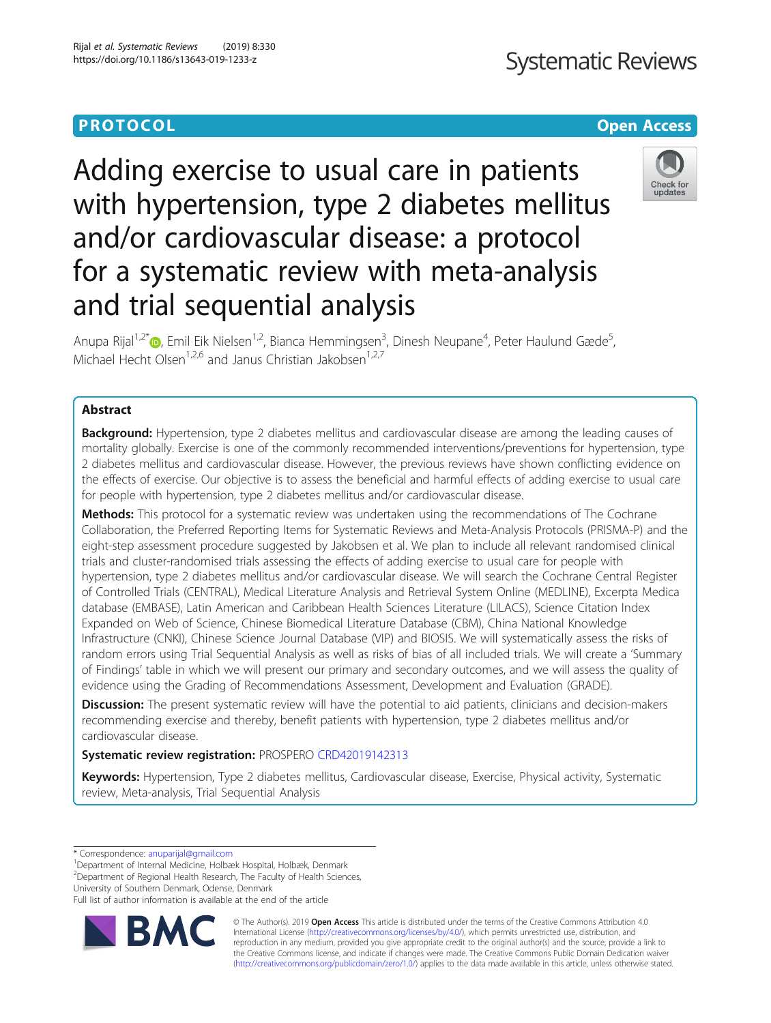# **Systematic Reviews**

# **PROTOCOL CONSUMING THE CONSUMING TEACHER CONSUMING THE CONSUMING TEACHER CONSUMING THE CONSUMING TEACHER CONSUMING**



Adding exercise to usual care in patients with hypertension, type 2 diabetes mellitus and/or cardiovascular disease: a protocol for a systematic review with meta-analysis and trial sequential analysis

Anupa Rijal<sup>1,2\*</sup>ii, Emil Eik Nielsen<sup>1,2</sup>, Bianca Hemmingsen<sup>3</sup>, Dinesh Neupane<sup>4</sup>, Peter Haulund Gæde<sup>5</sup> , Michael Hecht Olsen<sup>1,2,6</sup> and Janus Christian Jakobsen<sup>1,2,7</sup>

# Abstract

**Background:** Hypertension, type 2 diabetes mellitus and cardiovascular disease are among the leading causes of mortality globally. Exercise is one of the commonly recommended interventions/preventions for hypertension, type 2 diabetes mellitus and cardiovascular disease. However, the previous reviews have shown conflicting evidence on the effects of exercise. Our objective is to assess the beneficial and harmful effects of adding exercise to usual care for people with hypertension, type 2 diabetes mellitus and/or cardiovascular disease.

Methods: This protocol for a systematic review was undertaken using the recommendations of The Cochrane Collaboration, the Preferred Reporting Items for Systematic Reviews and Meta-Analysis Protocols (PRISMA-P) and the eight-step assessment procedure suggested by Jakobsen et al. We plan to include all relevant randomised clinical trials and cluster-randomised trials assessing the effects of adding exercise to usual care for people with hypertension, type 2 diabetes mellitus and/or cardiovascular disease. We will search the Cochrane Central Register of Controlled Trials (CENTRAL), Medical Literature Analysis and Retrieval System Online (MEDLINE), Excerpta Medica database (EMBASE), Latin American and Caribbean Health Sciences Literature (LILACS), Science Citation Index Expanded on Web of Science, Chinese Biomedical Literature Database (CBM), China National Knowledge Infrastructure (CNKI), Chinese Science Journal Database (VIP) and BIOSIS. We will systematically assess the risks of random errors using Trial Sequential Analysis as well as risks of bias of all included trials. We will create a 'Summary of Findings' table in which we will present our primary and secondary outcomes, and we will assess the quality of evidence using the Grading of Recommendations Assessment, Development and Evaluation (GRADE).

Discussion: The present systematic review will have the potential to aid patients, clinicians and decision-makers recommending exercise and thereby, benefit patients with hypertension, type 2 diabetes mellitus and/or cardiovascular disease.

Systematic review registration: PROSPERO [CRD42019142313](https://www.crd.york.ac.uk/PROSPERO/display_record.php?RecordID=142313)

Keywords: Hypertension, Type 2 diabetes mellitus, Cardiovascular disease, Exercise, Physical activity, Systematic review, Meta-analysis, Trial Sequential Analysis

\* Correspondence: [anuparijal@gmail.com](mailto:anuparijal@gmail.com) <sup>1</sup>

Department of Internal Medicine, Holbæk Hospital, Holbæk, Denmark

<sup>2</sup> Department of Regional Health Research, The Faculty of Health Sciences, University of Southern Denmark, Odense, Denmark

Full list of author information is available at the end of the article



© The Author(s). 2019 Open Access This article is distributed under the terms of the Creative Commons Attribution 4.0 International License [\(http://creativecommons.org/licenses/by/4.0/](http://creativecommons.org/licenses/by/4.0/)), which permits unrestricted use, distribution, and reproduction in any medium, provided you give appropriate credit to the original author(s) and the source, provide a link to the Creative Commons license, and indicate if changes were made. The Creative Commons Public Domain Dedication waiver [\(http://creativecommons.org/publicdomain/zero/1.0/](http://creativecommons.org/publicdomain/zero/1.0/)) applies to the data made available in this article, unless otherwise stated.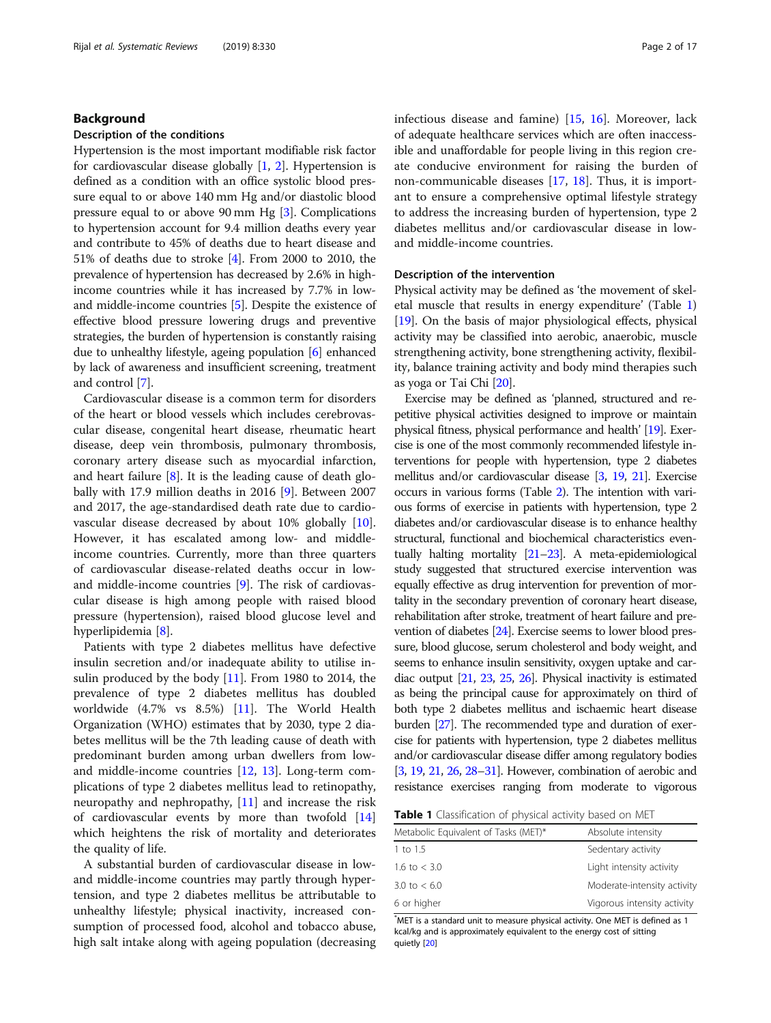# Background

# Description of the conditions

Hypertension is the most important modifiable risk factor for cardiovascular disease globally [\[1,](#page-14-0) [2\]](#page-14-0). Hypertension is defined as a condition with an office systolic blood pressure equal to or above 140 mm Hg and/or diastolic blood pressure equal to or above 90 mm Hg [\[3\]](#page-14-0). Complications to hypertension account for 9.4 million deaths every year and contribute to 45% of deaths due to heart disease and 51% of deaths due to stroke [\[4\]](#page-15-0). From 2000 to 2010, the prevalence of hypertension has decreased by 2.6% in highincome countries while it has increased by 7.7% in lowand middle-income countries [\[5](#page-15-0)]. Despite the existence of effective blood pressure lowering drugs and preventive strategies, the burden of hypertension is constantly raising due to unhealthy lifestyle, ageing population [\[6](#page-15-0)] enhanced by lack of awareness and insufficient screening, treatment and control [[7](#page-15-0)].

Cardiovascular disease is a common term for disorders of the heart or blood vessels which includes cerebrovascular disease, congenital heart disease, rheumatic heart disease, deep vein thrombosis, pulmonary thrombosis, coronary artery disease such as myocardial infarction, and heart failure  $[8]$  $[8]$ . It is the leading cause of death globally with 17.9 million deaths in 2016 [[9\]](#page-15-0). Between 2007 and 2017, the age-standardised death rate due to cardiovascular disease decreased by about 10% globally [\[10](#page-15-0)]. However, it has escalated among low- and middleincome countries. Currently, more than three quarters of cardiovascular disease-related deaths occur in lowand middle-income countries [\[9](#page-15-0)]. The risk of cardiovascular disease is high among people with raised blood pressure (hypertension), raised blood glucose level and hyperlipidemia [\[8](#page-15-0)].

Patients with type 2 diabetes mellitus have defective insulin secretion and/or inadequate ability to utilise insulin produced by the body [[11](#page-15-0)]. From 1980 to 2014, the prevalence of type 2 diabetes mellitus has doubled worldwide (4.7% vs 8.5%) [[11](#page-15-0)]. The World Health Organization (WHO) estimates that by 2030, type 2 diabetes mellitus will be the 7th leading cause of death with predominant burden among urban dwellers from lowand middle-income countries [\[12](#page-15-0), [13](#page-15-0)]. Long-term complications of type 2 diabetes mellitus lead to retinopathy, neuropathy and nephropathy, [[11](#page-15-0)] and increase the risk of cardiovascular events by more than twofold [[14](#page-15-0)] which heightens the risk of mortality and deteriorates the quality of life.

A substantial burden of cardiovascular disease in lowand middle-income countries may partly through hypertension, and type 2 diabetes mellitus be attributable to unhealthy lifestyle; physical inactivity, increased consumption of processed food, alcohol and tobacco abuse, high salt intake along with ageing population (decreasing infectious disease and famine) [[15,](#page-15-0) [16\]](#page-15-0). Moreover, lack of adequate healthcare services which are often inaccessible and unaffordable for people living in this region create conducive environment for raising the burden of non-communicable diseases [[17,](#page-15-0) [18](#page-15-0)]. Thus, it is important to ensure a comprehensive optimal lifestyle strategy to address the increasing burden of hypertension, type 2 diabetes mellitus and/or cardiovascular disease in lowand middle-income countries.

#### Description of the intervention

Physical activity may be defined as 'the movement of skeletal muscle that results in energy expenditure' (Table 1) [[19](#page-15-0)]. On the basis of major physiological effects, physical activity may be classified into aerobic, anaerobic, muscle strengthening activity, bone strengthening activity, flexibility, balance training activity and body mind therapies such as yoga or Tai Chi [\[20\]](#page-15-0).

Exercise may be defined as 'planned, structured and repetitive physical activities designed to improve or maintain physical fitness, physical performance and health' [[19\]](#page-15-0). Exercise is one of the most commonly recommended lifestyle interventions for people with hypertension, type 2 diabetes mellitus and/or cardiovascular disease [\[3](#page-14-0), [19](#page-15-0), [21\]](#page-15-0). Exercise occurs in various forms (Table [2](#page-2-0)). The intention with various forms of exercise in patients with hypertension, type 2 diabetes and/or cardiovascular disease is to enhance healthy structural, functional and biochemical characteristics eventually halting mortality  $[21-23]$  $[21-23]$  $[21-23]$  $[21-23]$ . A meta-epidemiological study suggested that structured exercise intervention was equally effective as drug intervention for prevention of mortality in the secondary prevention of coronary heart disease, rehabilitation after stroke, treatment of heart failure and prevention of diabetes [\[24](#page-15-0)]. Exercise seems to lower blood pressure, blood glucose, serum cholesterol and body weight, and seems to enhance insulin sensitivity, oxygen uptake and cardiac output [\[21,](#page-15-0) [23,](#page-15-0) [25](#page-15-0), [26](#page-15-0)]. Physical inactivity is estimated as being the principal cause for approximately on third of both type 2 diabetes mellitus and ischaemic heart disease burden [[27\]](#page-15-0). The recommended type and duration of exercise for patients with hypertension, type 2 diabetes mellitus and/or cardiovascular disease differ among regulatory bodies [[3](#page-14-0), [19](#page-15-0), [21,](#page-15-0) [26,](#page-15-0) [28](#page-15-0)–[31\]](#page-15-0). However, combination of aerobic and resistance exercises ranging from moderate to vigorous

Table 1 Classification of physical activity based on MET

| Metabolic Equivalent of Tasks (MET)* | Absolute intensity          |
|--------------------------------------|-----------------------------|
| 1 to 1.5                             | Sedentary activity          |
| $1.6 \text{ to } 3.0$                | Light intensity activity    |
| 3.0 to $< 6.0$                       | Moderate-intensity activity |
| 6 or higher                          | Vigorous intensity activity |

\* MET is a standard unit to measure physical activity. One MET is defined as 1 kcal/kg and is approximately equivalent to the energy cost of sitting quietly [[20\]](#page-15-0)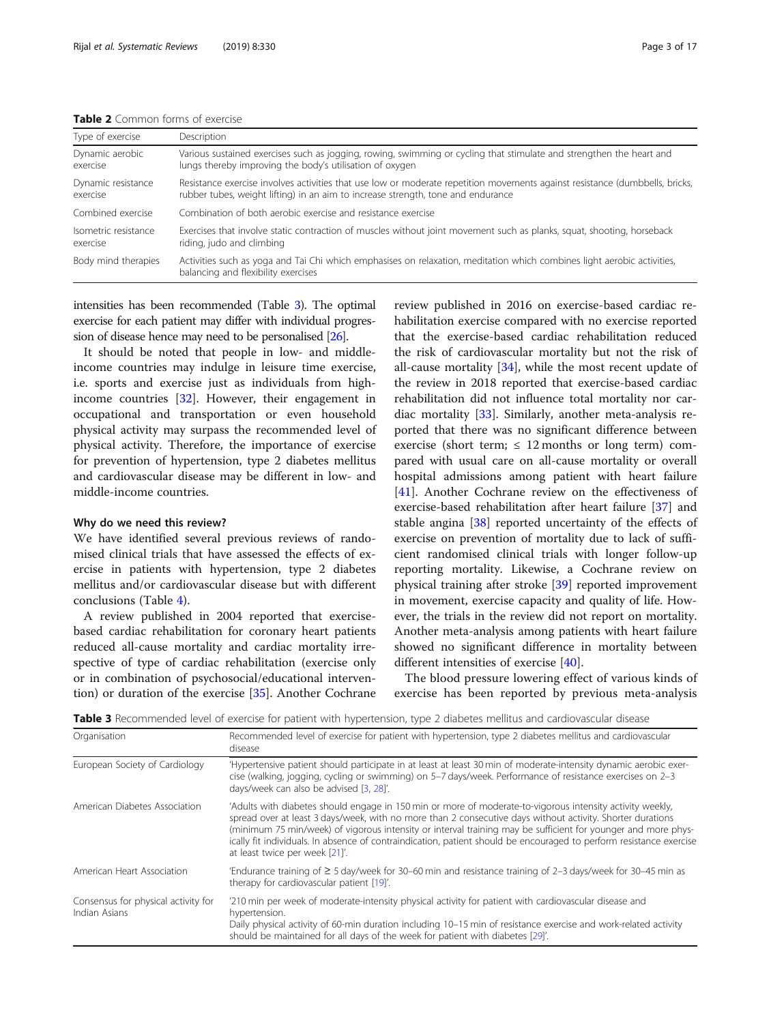<span id="page-2-0"></span>

|  | <b>Table 2</b> Common forms of exercise |  |  |
|--|-----------------------------------------|--|--|
|--|-----------------------------------------|--|--|

| Type of exercise     | Description                                                                                                                                                    |
|----------------------|----------------------------------------------------------------------------------------------------------------------------------------------------------------|
| Dynamic aerobic      | Various sustained exercises such as jogging, rowing, swimming or cycling that stimulate and strengthen the heart and                                           |
| exercise             | lungs thereby improving the body's utilisation of oxygen                                                                                                       |
| Dynamic resistance   | Resistance exercise involves activities that use low or moderate repetition movements against resistance (dumbbells, bricks,                                   |
| exercise             | rubber tubes, weight lifting) in an aim to increase strength, tone and endurance                                                                               |
| Combined exercise    | Combination of both aerobic exercise and resistance exercise                                                                                                   |
| Isometric resistance | Exercises that involve static contraction of muscles without joint movement such as planks, squat, shooting, horseback                                         |
| exercise             | riding, judo and climbing                                                                                                                                      |
| Body mind therapies  | Activities such as yoga and Tai Chi which emphasises on relaxation, meditation which combines light aerobic activities,<br>balancing and flexibility exercises |

intensities has been recommended (Table 3). The optimal exercise for each patient may differ with individual progression of disease hence may need to be personalised [\[26\]](#page-15-0).

It should be noted that people in low- and middleincome countries may indulge in leisure time exercise, i.e. sports and exercise just as individuals from highincome countries [[32](#page-15-0)]. However, their engagement in occupational and transportation or even household physical activity may surpass the recommended level of physical activity. Therefore, the importance of exercise for prevention of hypertension, type 2 diabetes mellitus and cardiovascular disease may be different in low- and middle-income countries.

# Why do we need this review?

We have identified several previous reviews of randomised clinical trials that have assessed the effects of exercise in patients with hypertension, type 2 diabetes mellitus and/or cardiovascular disease but with different conclusions (Table [4\)](#page-3-0).

A review published in 2004 reported that exercisebased cardiac rehabilitation for coronary heart patients reduced all-cause mortality and cardiac mortality irrespective of type of cardiac rehabilitation (exercise only or in combination of psychosocial/educational intervention) or duration of the exercise [[35](#page-15-0)]. Another Cochrane review published in 2016 on exercise-based cardiac rehabilitation exercise compared with no exercise reported that the exercise-based cardiac rehabilitation reduced the risk of cardiovascular mortality but not the risk of all-cause mortality [\[34](#page-15-0)], while the most recent update of the review in 2018 reported that exercise-based cardiac rehabilitation did not influence total mortality nor cardiac mortality [\[33](#page-15-0)]. Similarly, another meta-analysis reported that there was no significant difference between exercise (short term;  $\leq 12$  months or long term) compared with usual care on all-cause mortality or overall hospital admissions among patient with heart failure [[41\]](#page-15-0). Another Cochrane review on the effectiveness of exercise-based rehabilitation after heart failure [[37](#page-15-0)] and stable angina [\[38\]](#page-15-0) reported uncertainty of the effects of exercise on prevention of mortality due to lack of sufficient randomised clinical trials with longer follow-up reporting mortality. Likewise, a Cochrane review on physical training after stroke [\[39](#page-15-0)] reported improvement in movement, exercise capacity and quality of life. However, the trials in the review did not report on mortality. Another meta-analysis among patients with heart failure showed no significant difference in mortality between different intensities of exercise [[40\]](#page-15-0).

The blood pressure lowering effect of various kinds of exercise has been reported by previous meta-analysis

Table 3 Recommended level of exercise for patient with hypertension, type 2 diabetes mellitus and cardiovascular disease

| Organisation                                         | Recommended level of exercise for patient with hypertension, type 2 diabetes mellitus and cardiovascular<br>disease                                                                                                                                                                                                                                                                                                                                                                               |
|------------------------------------------------------|---------------------------------------------------------------------------------------------------------------------------------------------------------------------------------------------------------------------------------------------------------------------------------------------------------------------------------------------------------------------------------------------------------------------------------------------------------------------------------------------------|
| European Society of Cardiology                       | 'Hypertensive patient should participate in at least at least 30 min of moderate-intensity dynamic aerobic exer-<br>cise (walking, jogging, cycling or swimming) on 5–7 days/week. Performance of resistance exercises on 2–3<br>days/week can also be advised [3, 28]'.                                                                                                                                                                                                                          |
| American Diabetes Association                        | 'Adults with diabetes should engage in 150 min or more of moderate-to-vigorous intensity activity weekly,<br>spread over at least 3 days/week, with no more than 2 consecutive days without activity. Shorter durations<br>(minimum 75 min/week) of vigorous intensity or interval training may be sufficient for younger and more phys-<br>ically fit individuals. In absence of contraindication, patient should be encouraged to perform resistance exercise<br>at least twice per week [21]'. |
| American Heart Association                           | 'Endurance training of $\geq$ 5 day/week for 30–60 min and resistance training of 2–3 days/week for 30–45 min as<br>therapy for cardiovascular patient [19]'.                                                                                                                                                                                                                                                                                                                                     |
| Consensus for physical activity for<br>Indian Asians | '210 min per week of moderate-intensity physical activity for patient with cardiovascular disease and<br>hypertension.<br>Daily physical activity of 60-min duration including 10-15 min of resistance exercise and work-related activity<br>should be maintained for all days of the week for patient with diabetes [29]'.                                                                                                                                                                       |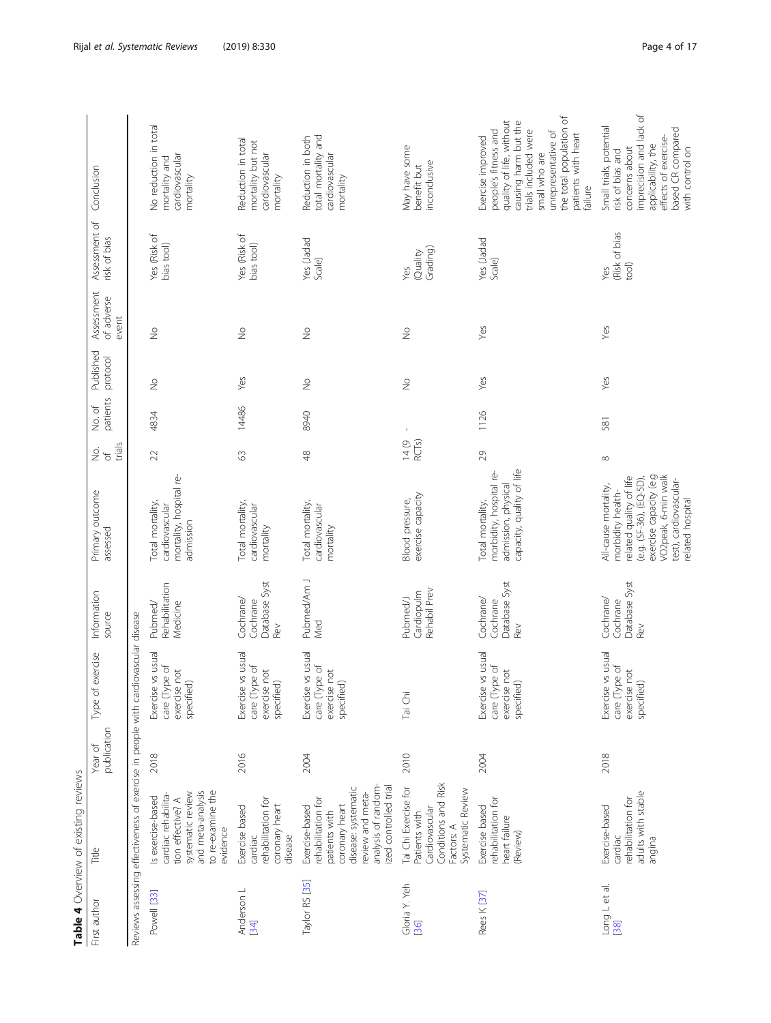<span id="page-3-0"></span>

|                       | Table 4 Overview of existing reviews                                                                                                                               |                        |                                                                  |                                               |                                                                                                                                                                                                |                                                |                    |                       |                                   |                               |                                                                                                                                                                                                                            |
|-----------------------|--------------------------------------------------------------------------------------------------------------------------------------------------------------------|------------------------|------------------------------------------------------------------|-----------------------------------------------|------------------------------------------------------------------------------------------------------------------------------------------------------------------------------------------------|------------------------------------------------|--------------------|-----------------------|-----------------------------------|-------------------------------|----------------------------------------------------------------------------------------------------------------------------------------------------------------------------------------------------------------------------|
| First author          | Fitle                                                                                                                                                              | publication<br>Year of | exercise<br>Type of                                              | Information<br>source                         | Primary outcome<br>assessed                                                                                                                                                                    | trials<br>$\stackrel{\circ}{\geq}$<br>$\sigma$ | patients<br>No. of | Published<br>protocol | Assessment<br>of adverse<br>event | Assessment of<br>risk of bias | Conclusion                                                                                                                                                                                                                 |
|                       | Reviews assessing effectiveness of exercise in people with cardiovascular disease                                                                                  |                        |                                                                  |                                               |                                                                                                                                                                                                |                                                |                    |                       |                                   |                               |                                                                                                                                                                                                                            |
| Powell [33]           | and meta-analysis<br>to re-examine the<br>systematic review<br>cardiac rehabilita-<br>Is exercise-based<br>tion effective? A<br>evidence                           | 2018                   | Exercise vs usual<br>care (Type of<br>exercise not<br>specified) | Rehabilitation<br>Medicine<br>Pubmed/         | mortality, hospital re-<br>Total mortality,<br>cardiovascular<br>admission                                                                                                                     | 22                                             | 4834               | $\frac{1}{2}$         | $\frac{1}{2}$                     | Yes (Risk of<br>bias tool)    | No reduction in total<br>cardiovascular<br>mortality and<br>mortality                                                                                                                                                      |
| Anderson L<br>[34]    | rehabilitation for<br>coronary heart<br>Exercise based<br>disease<br>cardiac                                                                                       | 2016                   | Exercise vs usual<br>care (Type of<br>exercise not<br>specified) | Database Syst<br>Cochrane/<br>Cochrane<br>Rev | Total mortality,<br>cardiovascular<br>mortality                                                                                                                                                | $\Im$                                          | 14486              | Yes                   | $\geq$                            | Yes (Risk of<br>bias tool)    | Reduction in total<br>mortality but not<br>cardiovascular<br>mortality                                                                                                                                                     |
| Taylor RS [35]        | analysis of random-<br>ized controlled trial<br>disease: systematic<br>review and meta-<br>rehabilitation for<br>coronary heart<br>Exercise-based<br>patients with | 2004                   | Exercise vs usual<br>care (Type of<br>exercise not<br>specified) | Pubmed/Am J<br>Med                            | Total mortality,<br>cardiovascular<br>mortality                                                                                                                                                | $\frac{8}{3}$                                  | 8940               | $\frac{1}{2}$         | $\frac{1}{2}$                     | Yes (Jadad<br>Scale)          | total mortality and<br>Reduction in both<br>cardiovascular<br>mortality                                                                                                                                                    |
| Gloria Y. Yeh<br>36   | Conditions and Risk<br>Tai Chi Exercise for<br>Systematic Review<br>Cardiovascular<br>Patients with<br>Factors: A                                                  | 2010                   | Tai Chi                                                          | Rehabil Prev<br>Cardiopulm<br>Pubmed/J        | exercise capacity<br>Blood pressure,                                                                                                                                                           | $14(9$<br>RCT <sub>S</sub> )                   |                    | $\frac{1}{2}$         | $\frac{1}{2}$                     | Grading)<br>(Quality<br>Yes   | May have some<br>inconclusive<br>benefit but                                                                                                                                                                               |
| Rees K [37]           | rehabilitation for<br>Exercise based<br>heart failure<br>(Review)                                                                                                  | 2004                   | Exercise vs usual<br>care (Type of<br>exercise not<br>specified) | Database Syst<br>Cochrane/<br>Cochrane<br>Rev | capacity, quality of life<br>morbidity, hospital re-<br>admission, physical<br>Total mortality,                                                                                                | 29                                             | 1126               | Yes                   | Yes                               | Yes (Jadad<br>Scale)          | the total population of<br>quality of life, without<br>causing harm but the<br>people's fitness and<br>trials included were<br>unrepresentative of<br>patients with heart<br>Exercise improved<br>small who are<br>failure |
| Long L et al.<br>[38] | adults with stable<br>rehabilitation for<br>Exercise-based<br>cardiac<br>angina                                                                                    | 2018                   | Exercise vs usual<br>care (Type of<br>exercise not<br>specified) | Database Syst<br>Cochrane/<br>Cochrane<br>Rev | exercise capacity (e.g<br>VO2peak, 6-min walk<br>related quality of life<br>(e.g. (SF-36), (EQ-5D),<br>test), cardiovascular-<br>All-cause mortality,<br>morbidity health-<br>related hospital | $\infty$                                       | 581                | Yes                   | Yes                               | (Risk of bias<br>tool)<br>Yes | imprecision and lack of<br>Small trials, potential<br>based CR compared<br>effects of exercise-<br>applicability, the<br>with control on<br>concerns about<br>risk of bias and                                             |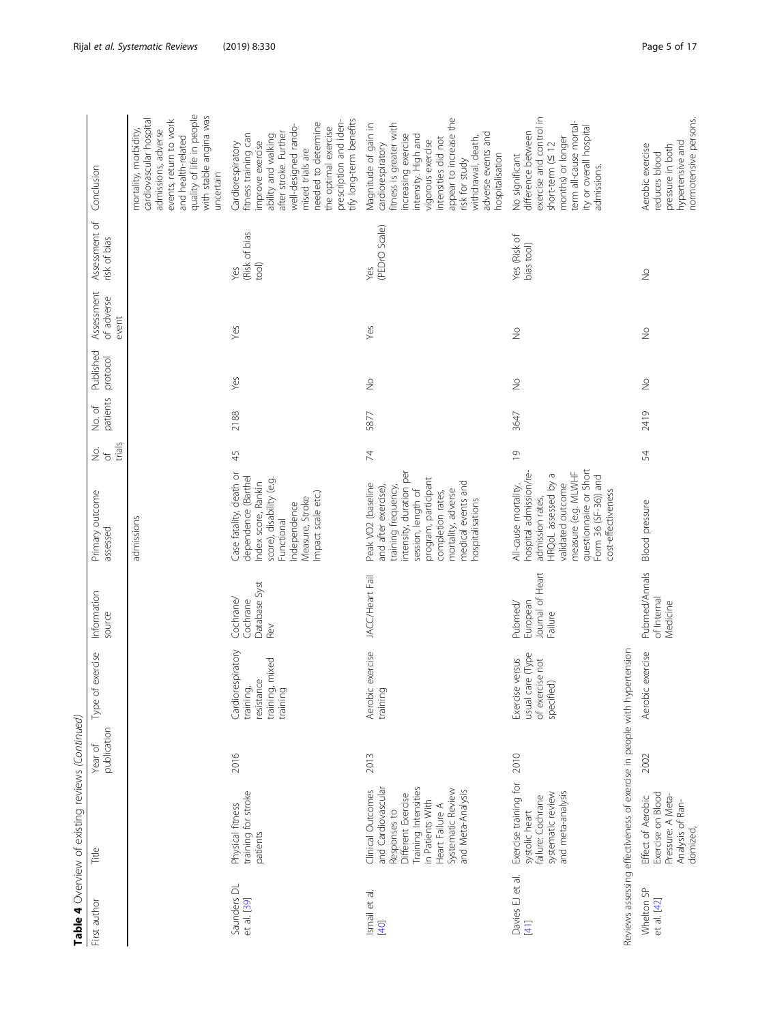| First author               | Table 4 Overview of existing reviews (Continued)<br>Fite                                                                                                                               | publication<br>Year of | Type of exercise                                                            | Information<br>source                              | Primary outcome<br>assessed                                                                                                                                                                                                     | $\frac{\dot{Q}}{Z}$ $\stackrel{\leftarrow}{O}$ | patients<br>No. of | Published<br>protocol | Assessment<br>of adverse | Assessment of<br>risk of bias | Conclusion                                                                                                                                                                                                                                                                |
|----------------------------|----------------------------------------------------------------------------------------------------------------------------------------------------------------------------------------|------------------------|-----------------------------------------------------------------------------|----------------------------------------------------|---------------------------------------------------------------------------------------------------------------------------------------------------------------------------------------------------------------------------------|------------------------------------------------|--------------------|-----------------------|--------------------------|-------------------------------|---------------------------------------------------------------------------------------------------------------------------------------------------------------------------------------------------------------------------------------------------------------------------|
|                            |                                                                                                                                                                                        |                        |                                                                             |                                                    | admissions                                                                                                                                                                                                                      | trials                                         |                    |                       | event                    |                               | quality of life in people<br>with stable angina was<br>cardiovascular hospital<br>events, return to work<br>mortality, morbidity,<br>admissions, adverse<br>and health-related<br>uncertain                                                                               |
| Saunders DL<br>et al. [39] | training for stroke<br>Physical fitness<br>patients                                                                                                                                    | 2016                   | Cardiorespiratory<br>training, mixed<br>resistance<br>training,<br>training | Database Syst<br>Cochrane/<br>Cochrane<br>Rev      | Case fatality, death or<br>dependence (Barthel<br>score), disability (e.g.<br>ndex score, Rankin<br>mpact scale etc.)<br>Measure, Stroke<br>ndependence<br>Functional                                                           | 45                                             | 2188               | Yes                   | Yes                      | (Risk of bias<br>tool)<br>Yes | tify long-term benefits<br>prescription and iden-<br>needed to determine<br>well-designed rando-<br>the optimal exercise<br>after stroke. Further<br>fitness training can<br>ability and walking<br>improve exercise<br>Cardiorespiratory<br>mised trials are             |
| Ismail et al.<br>[40]      | and Cardiovascular<br>Training Intensities<br>Systematic Review<br>Clinical Outcomes<br>and Meta-Analysis<br>Different Exercise<br>in Patients With<br>Heart Failure A<br>Responses to | 2013                   | Aerobic exercise<br>training                                                | JACC/Heart Fail                                    | intensity, duration per<br>program, participant<br>medical events and<br>Peak VO2 (baseline<br>and after exercise),<br>training frequency,<br>session, length of<br>mortality, adverse<br>completion rates,<br>hospitalisations | $\overline{\mathcal{A}}$                       | 5877               | $\frac{1}{2}$         | Yes                      | (PEDrO Scale)<br>Yes          | appear to increase the<br>fitness is greater with<br>Magnitude of gain in<br>adverse events and<br>increasing exercise<br>intensity. High and<br>withdrawal, death,<br>intensities did not<br>vigorous exercise<br>cardiorespiratory<br>hospitalisation<br>risk for study |
| Davies EJ et al.<br>[41]   | Exercise training for<br>and meta-analysis<br>systematic review<br>failure: Cochrane<br>systolic heart                                                                                 | 2010                   | usual care (Type<br>Exercise versus<br>of exercise not<br>specified)        | Journal of Heart<br>European<br>Pubmed/<br>Failure | questionnaire or Short<br>hospital admission/re-<br>measure (e.g. MLWHF<br>HRQoL assessed by a<br>Form $36$ (SF-36)) and<br>validated outcome<br>All-cause mortality,<br>cost-effectiveness<br>admission rates,                 | $\overline{0}$                                 | 3647               | $\frac{0}{2}$         | ž                        | Yes (Risk of<br>bias tool)    | exercise and control in<br>term all-cause mortal-<br>ity or overall hospital<br>difference between<br>months) or longer<br>short-term $(512$<br>No significant<br>admissions.                                                                                             |
|                            | Reviews assessing effectiveness of exercise in people with hypertension                                                                                                                |                        |                                                                             |                                                    |                                                                                                                                                                                                                                 |                                                |                    |                       |                          |                               |                                                                                                                                                                                                                                                                           |
| Whelton SP<br>et al. [42]  | Exercise on Blood<br>Effect of Aerobic<br>Pressure: A Meta-<br>Analysis of Ran-<br>domized,                                                                                            | 2002                   | Aerobic exercise                                                            | Pubmed/Annals<br>of Internal<br>Medicine           | <b>Blood</b> pressure                                                                                                                                                                                                           | 54                                             | 2419               | $\geqq$               | $\geq$                   | $\frac{1}{2}$                 | normotensive persons.<br>hypertensive and<br>Aerobic exercise<br>pressure in both<br>reduces blood                                                                                                                                                                        |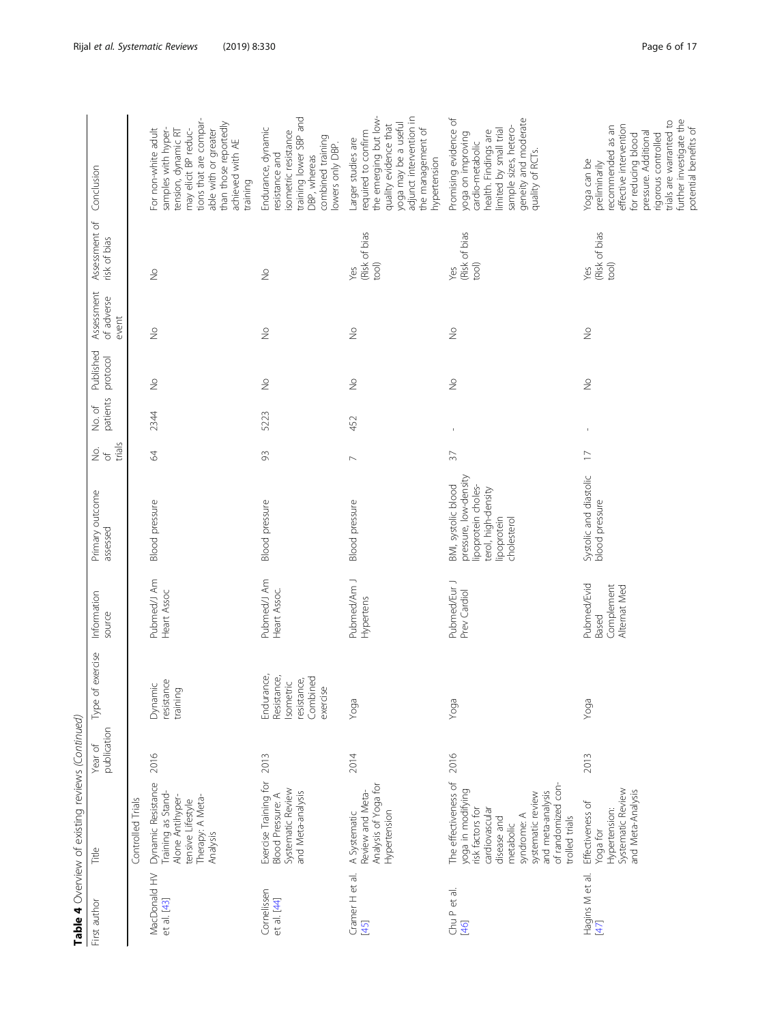|                             | Table 4 Overview of existing reviews (Continued)                                                                                                                                                             |                        |                                                                               |                                                    |                                                                                                                          |                                       |                    |                          |                                   |                               |                                                                                                                                                                                                                                 |
|-----------------------------|--------------------------------------------------------------------------------------------------------------------------------------------------------------------------------------------------------------|------------------------|-------------------------------------------------------------------------------|----------------------------------------------------|--------------------------------------------------------------------------------------------------------------------------|---------------------------------------|--------------------|--------------------------|-----------------------------------|-------------------------------|---------------------------------------------------------------------------------------------------------------------------------------------------------------------------------------------------------------------------------|
| First author                | Title                                                                                                                                                                                                        | publication<br>Year of | Type of exercise                                                              | Information<br>source                              | Primary outcome<br>assessed                                                                                              | trials<br>$\frac{6}{2}$ $\frac{1}{6}$ | patients<br>No. of | Published<br>protocol    | Assessment<br>of adverse<br>event | Assessment of<br>risk of bias | Conclusion                                                                                                                                                                                                                      |
|                             | Controlled Trials                                                                                                                                                                                            |                        |                                                                               |                                                    |                                                                                                                          |                                       |                    |                          |                                   |                               |                                                                                                                                                                                                                                 |
| MacDonald HV<br>et al. [43] | Dynamic Resistance<br>Training as Stand-<br>Therapy: A Meta-<br>Alone Antihyper-<br>tensive Lifestyle<br>Analysis                                                                                            | 2016                   | resistance<br>Dynamic<br>training                                             | Pubmed/J Am<br>Heart Assoc                         | <b>Blood</b> pressure                                                                                                    | $\mathcal{Z}$                         | 2344               | $\frac{0}{2}$            | $\geq$                            | $\geq$                        | tions that are compar-<br>than those reportedly<br>samples with hyper-<br>tension, dynamic RT<br>may elicit BP reduc-<br>For non-white adult<br>able with or greater<br>achieved with AE<br>training                            |
| Cornelissen<br>et al. [44]  | Exercise Training for<br>Systematic Review<br>and Meta-analysis<br>Blood Pressure: A                                                                                                                         | 2013                   | Endurance,<br>Resistance,<br>Combined<br>resistance,<br>Isometric<br>exercise | Pubmed/J Am<br>Heart Assoc.                        | <b>Blood</b> pressure                                                                                                    | 93                                    | 5223               | $\frac{0}{2}$            | $\geq$                            | $\frac{1}{2}$                 | training lower SBP and<br>Endurance, dynamic<br>isometric resistance<br>combined training<br>lowers only DBP.<br>resistance and<br>DBP, whereas                                                                                 |
| Cramer H et al.<br>$[45]$   | Analysis of Yoga for<br>Review and Meta-<br>Hypertension<br>A Systematic                                                                                                                                     | 2014                   | Yoga                                                                          | Pubmed/Am J<br>Hypertens                           | <b>Blood</b> pressure                                                                                                    | $\overline{\phantom{0}}$              | 452                | $\stackrel{\circ}{\geq}$ | $\geqq$                           | (Risk of bias<br>tool)<br>Yes | the emerging but low-<br>adjunct intervention in<br>yoga may be a useful<br>quality evidence that<br>the management of<br>required to confirm<br>Larger studies are<br>hypertension                                             |
| Chu P et al.<br>[46]        | The effectiveness of<br>of randomized con-<br>yoga in modifying<br>and meta-analysis<br>systematic review<br>risk factors for<br>cardiovascular<br>syndrome: A<br>trolled trials<br>disease and<br>metabolic | 2016                   | Yoga                                                                          | Pubmed/Eur J<br>Prev Cardiol                       | pressure, low-density<br>BMI, systolic blood<br>lipoprotein choles-<br>terol, high-density<br>lipoprotein<br>cholesterol | $\overline{37}$                       | $\mathbf{I}$       | $\frac{1}{2}$            | $\stackrel{\circ}{\geq}$          | (Risk of bias<br>tool)<br>Yes | Promising evidence of<br>geneity and moderate<br>sample sizes, hetero-<br>limited by small trial<br>health. Findings are<br>yoga on improving<br>cardio-metabolic<br>quality of RCTs.                                           |
| Hagins M et al.<br>[47]     | Systematic Review<br>and Meta-Analysis<br>Effectiveness of<br>Hypertension:<br>Yoga for                                                                                                                      | 2013                   | Yoga                                                                          | Pubmed/Evid<br>Complement<br>Alternat Med<br>Based | Systolic and diastolic<br>blood pressure                                                                                 | $\Box$                                | $\mathbf I$        | $\frac{1}{2}$            | $\geq$                            | (Risk of bias<br>tool)<br>Yes | further investigate the<br>trials are warranted to<br>effective intervention<br>recommended as an<br>potential benefits of<br>pressure. Additional<br>for reducing blood<br>rigorous controlled<br>Yoga can be<br>preliminarily |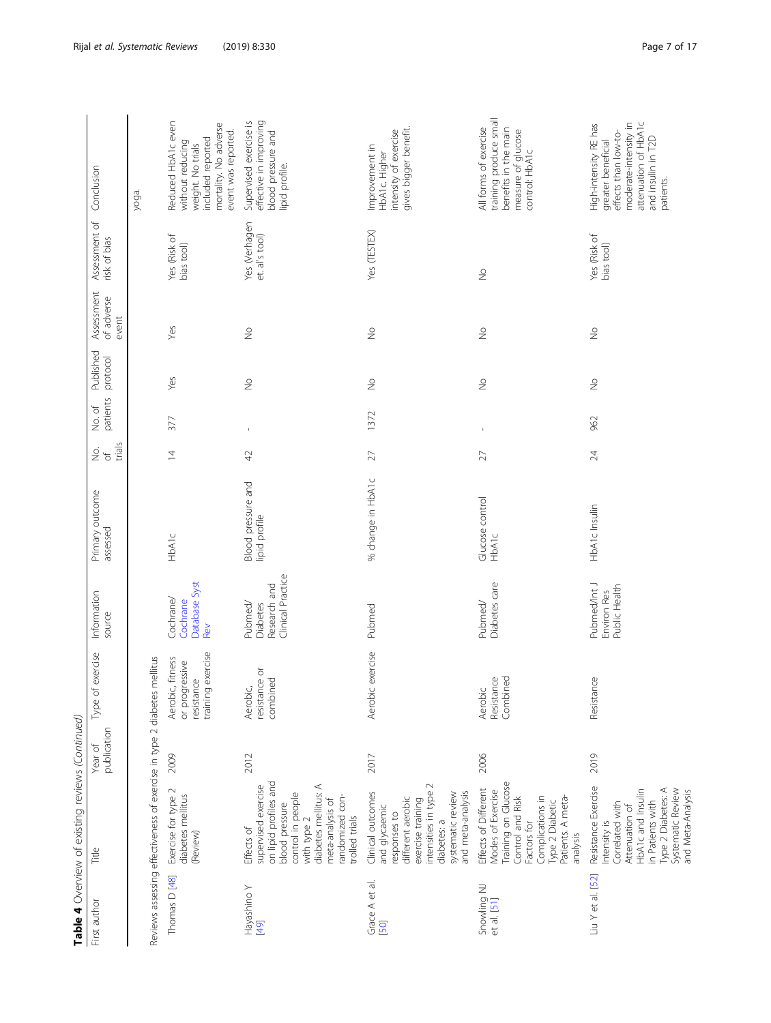|                            | Table 4 Overview of existing reviews (Continued)                                                                                                                                                  |                        |                                                                          |                                                                 |                                     |                                                               |                    |                          |                                   |                                 |                                                                                                                                                         |
|----------------------------|---------------------------------------------------------------------------------------------------------------------------------------------------------------------------------------------------|------------------------|--------------------------------------------------------------------------|-----------------------------------------------------------------|-------------------------------------|---------------------------------------------------------------|--------------------|--------------------------|-----------------------------------|---------------------------------|---------------------------------------------------------------------------------------------------------------------------------------------------------|
| First author               | Title                                                                                                                                                                                             | publication<br>Year of | exercise<br>Type of                                                      | Information<br>source                                           | Primary outcome<br>assessed         | $x = 5$<br>$\stackrel{\circ}{\geq}$ $\stackrel{\circ}{\circ}$ | patients<br>No. of | Published<br>protocol    | Assessment<br>of adverse<br>event | Assessment of<br>risk of bias   | Conclusion                                                                                                                                              |
|                            | Reviews assessing effectiveness of exercise in type 2 diabetes                                                                                                                                    |                        | mellitus                                                                 |                                                                 |                                     |                                                               |                    |                          |                                   |                                 | yoga.                                                                                                                                                   |
| Thomas D [48]              | Exercise for type 2<br>diabetes mellitus<br>(Review)                                                                                                                                              | 2009                   | exercise<br>Aerobic, fitness<br>or progressive<br>resistance<br>training | Database Syst<br>Cochrane/<br>Cochrane<br>Rev                   | HbA1c                               | $\overline{4}$                                                | 377                | Yes                      | Yes                               | Yes (Risk of<br>bias tool)      | Reduced HbA1c even<br>mortality. No adverse<br>event was reported.<br>included reported<br>without reducing<br>weight. No trials                        |
| Hayashino Y<br>[49]        | on lipid profiles and<br>diabetes mellitus: A<br>supervised exercise<br>control in people<br>randomized con-<br>meta-analysis of<br>blood pressure<br>trolled trials<br>with type 2<br>Effects of | 2012                   | resistance or<br>$\overline{C}$<br>Aerobic,<br>combin                    | Clinical Practice<br>Research and<br>Pubmed/<br><b>Diabetes</b> | Blood pressure and<br>lipid profile | $\overline{4}$                                                | $\mathbf{1}$       | $\stackrel{\circ}{\geq}$ | $\geq$                            | Yes (Verhagen<br>et. al's tool) | effective in improving<br>Supervised exercise is<br>blood pressure and<br>lipid profile.                                                                |
| Grace A et al.<br>[50]     | intensities in type 2<br>Clinical outcomes<br>and meta-analysis<br>systematic review<br>different aerobic<br>exercise training<br>and glycaemic<br>responses to<br>diabetes: a                    | 2017                   | exercise<br>Aerobic                                                      | Pubmed                                                          | % change in HbA1c                   | 27                                                            | 1372               | $\frac{1}{2}$            | $\frac{1}{2}$                     | Yes (TESTEX)                    | gives bigger benefit.<br>intensity of exercise<br>Improvement in<br>HbA1c. Higher                                                                       |
| Snowling NJ<br>et al. [51] | Training on Glucose<br>Effects of Different<br>Modes of Exercise<br>Complications in<br>Patients. A meta-<br>Control and Risk<br>Type 2 Diabetic<br>Factors for<br>analysis                       | 2006                   | Combined<br>Resistance<br>Aerobic                                        | Diabetes care<br>Pubmed/                                        | Glucose control<br><b>HbA1c</b>     | 27                                                            | $\mathbf{I}$       | $\frac{\circ}{\geq}$     | $\geq$                            | $\geq$                          | training produce small<br>All forms of exercise<br>benefits in the main<br>measure of glucose<br>control: HbA1c                                         |
| Liu Y et al. [52]          | Resistance Exercise<br>Type 2 Diabetes: A<br>Systematic Review<br>HbA1c and Insulin<br>and Meta-Analysis<br>in Patients with<br>Correlated with<br>Attenuation of<br>Intensity is                 | 2019                   | Resistance                                                               | Pubmed/Int J<br>Environ Res<br>Public Health                    | HbA1c Insulin                       | 24                                                            | 962                | $\frac{1}{2}$            | $\frac{1}{2}$                     | Yes (Risk of<br>bias tool)      | attenuation of HbA1c<br>moderate-intensity in<br>High-intensity RE has<br>effects than low-to-<br>and insulin in T2D<br>greater beneficial<br>patients. |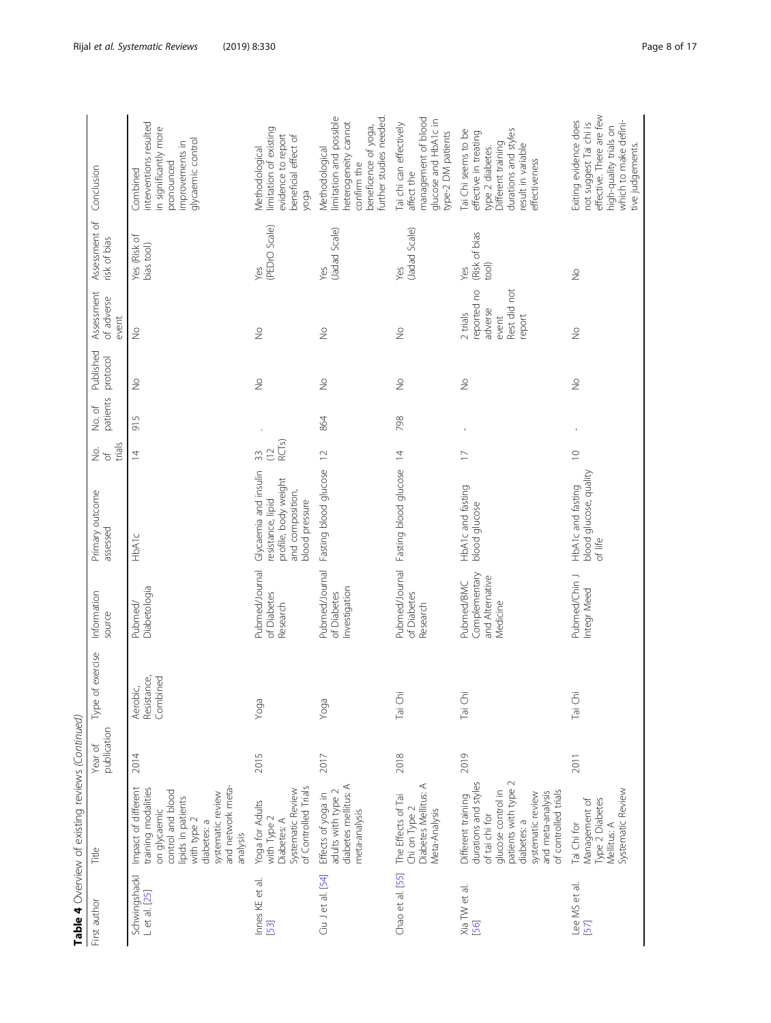| First author                   | Fite                                                                                                                                                                                        | publication<br>Year of | Type of exercise                    | Information<br>source                                      | Primary outcome<br>assessed                                                                              | trials<br>$\stackrel{\circ}{\geq}$<br>$\sigma$ | patients<br>No. of | Published<br>protocol | Assessment<br>of adverse<br>event                                                | Assessment of<br>risk of bias | Conclusion                                                                                                                                            |
|--------------------------------|---------------------------------------------------------------------------------------------------------------------------------------------------------------------------------------------|------------------------|-------------------------------------|------------------------------------------------------------|----------------------------------------------------------------------------------------------------------|------------------------------------------------|--------------------|-----------------------|----------------------------------------------------------------------------------|-------------------------------|-------------------------------------------------------------------------------------------------------------------------------------------------------|
| Schwingshackl<br>L et al. [25] | and network meta-<br>Impact of different<br>training modalities<br>control and blood<br>systematic review<br>lipids in patients<br>on glycaemic<br>with type 2<br>diabetes: a<br>analysis   | 2014                   | Resistance,<br>Combined<br>Aerobic, | Diabetologia<br>Pubmed/                                    | HbA1c                                                                                                    | $\overline{4}$                                 | 915                | $\frac{1}{2}$         | $\geq$                                                                           | Yes (Risk of<br>bias tool)    | interventions resulted<br>in significantly more<br>glycaemic control<br>improvements in<br>pronounced<br>Combined                                     |
| Innes KE et al.<br>[53]        | of Controlled Trials<br>Systematic Review<br>Yoga for Adults<br>with Type 2<br>Diabetes: A                                                                                                  | 2015                   | Yoga                                | Pubmed/Journal<br>of Diabetes<br>Research                  | Glycaemia and insulin<br>profile, body weight<br>and composition,<br>resistance, lipid<br>blood pressure | RCT <sub>S</sub><br>(12)<br>33                 |                    | $\frac{1}{2}$         | $\geq$                                                                           | (PEDrO Scale)<br>Yes          | limitation of existing<br>evidence to report<br>beneficial effect of<br>Methodological<br>yoga                                                        |
| Ciu J et al. [54]              | diabetes mellitus: A<br>adults with type 2<br>Effects of yoga in<br>meta-analysis                                                                                                           | 2017                   | Yoga                                | Pubmed/Journal<br>Investigation<br>of Diabetes             | Fasting blood glucose                                                                                    | $\supseteq$                                    | 864                | $\frac{1}{2}$         | $\geq$                                                                           | (Jadad Scale)<br>Yes          | limitation and possible<br>further studies needed.<br>heterogeneity cannot<br>beneficence of yoga,<br>Methodological<br>confirm the                   |
| Chao et al. [55]               | Diabetes Mellitus: A<br>The Effects of Tai<br>Chi on Type 2<br>Meta-Analysis                                                                                                                | 2018                   | Tai Chi                             | Pubmed/Journal<br>of Diabetes<br>Research                  | Fasting blood glucose                                                                                    | $\overline{4}$                                 | 798                | $\frac{1}{2}$         | $\frac{1}{2}$                                                                    | (Jadad Scale)<br>Yes          | management of blood<br>glucose and HbA1c in<br>Tai chi can effectively<br>type-2 DM patients<br>affect the                                            |
| Xia TW et al.<br>[56]          | patients with type 2<br>durations and styles<br>of controlled trials<br>glucose control in<br>and meta-analysis<br>systematic review<br>Different training<br>of tai chi for<br>diabetes: a | 2019                   | Tai Chi                             | Complementary<br>and Alternative<br>Pubmed/BMC<br>Medicine | HbA1c and fasting<br>blood glucose                                                                       | $\Box$                                         | $\mathbf{I}$       | $\frac{1}{2}$         | $\epsilon$<br>Rest did not<br>reported<br>adverse<br>2 trials<br>report<br>event | (Risk of bias<br>tool)<br>Yes | durations and styles<br>Tai Chi seems to be<br>effective in treating<br>Different training<br>result in variable<br>type 2 diabetes.<br>effectiveness |
| Lee MS et al.<br>[57]          | Systematic Review<br>Management of<br>Type 2 Diabetes<br>Tai Chi for<br>Mellitus: A                                                                                                         | 2011                   | Tai Chi                             | Pubmed/Chin J<br>Integr Meed                               | blood glucose, quality<br>HbA1c and fasting<br>of life                                                   | $\supseteq$                                    | $\mathbf{I}$       | $\frac{1}{2}$         | $\frac{1}{2}$                                                                    | $\frac{1}{2}$                 | effective. There are few<br>Exiting evidence does<br>which to make defini-<br>not suggest Tai chi is<br>high-quality trials on<br>tive judgements.    |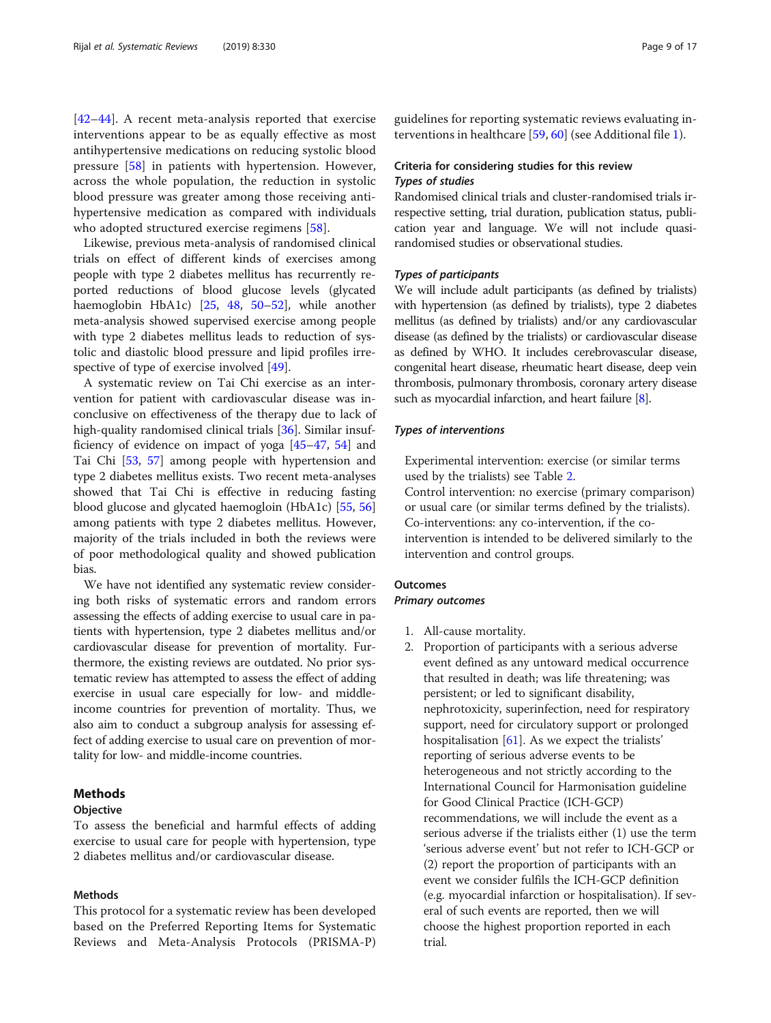[[42](#page-15-0)–[44\]](#page-15-0). A recent meta-analysis reported that exercise interventions appear to be as equally effective as most antihypertensive medications on reducing systolic blood pressure [[58\]](#page-16-0) in patients with hypertension. However, across the whole population, the reduction in systolic blood pressure was greater among those receiving antihypertensive medication as compared with individuals who adopted structured exercise regimens [[58\]](#page-16-0).

Likewise, previous meta-analysis of randomised clinical trials on effect of different kinds of exercises among people with type 2 diabetes mellitus has recurrently reported reductions of blood glucose levels (glycated haemoglobin HbA1c) [\[25](#page-15-0), [48](#page-15-0), [50](#page-16-0)–[52](#page-16-0)], while another meta-analysis showed supervised exercise among people with type 2 diabetes mellitus leads to reduction of systolic and diastolic blood pressure and lipid profiles irre-spective of type of exercise involved [[49\]](#page-15-0).

A systematic review on Tai Chi exercise as an intervention for patient with cardiovascular disease was inconclusive on effectiveness of the therapy due to lack of high-quality randomised clinical trials [\[36](#page-15-0)]. Similar insufficiency of evidence on impact of yoga [[45](#page-15-0)–[47](#page-15-0), [54](#page-16-0)] and Tai Chi [\[53,](#page-16-0) [57\]](#page-16-0) among people with hypertension and type 2 diabetes mellitus exists. Two recent meta-analyses showed that Tai Chi is effective in reducing fasting blood glucose and glycated haemogloin (HbA1c) [[55](#page-16-0), [56](#page-16-0)] among patients with type 2 diabetes mellitus. However, majority of the trials included in both the reviews were of poor methodological quality and showed publication bias.

We have not identified any systematic review considering both risks of systematic errors and random errors assessing the effects of adding exercise to usual care in patients with hypertension, type 2 diabetes mellitus and/or cardiovascular disease for prevention of mortality. Furthermore, the existing reviews are outdated. No prior systematic review has attempted to assess the effect of adding exercise in usual care especially for low- and middleincome countries for prevention of mortality. Thus, we also aim to conduct a subgroup analysis for assessing effect of adding exercise to usual care on prevention of mortality for low- and middle-income countries.

# Methods

#### **Objective**

To assess the beneficial and harmful effects of adding exercise to usual care for people with hypertension, type 2 diabetes mellitus and/or cardiovascular disease.

# Methods

This protocol for a systematic review has been developed based on the Preferred Reporting Items for Systematic Reviews and Meta-Analysis Protocols (PRISMA-P) guidelines for reporting systematic reviews evaluating interventions in healthcare [[59,](#page-16-0) [60\]](#page-16-0) (see Additional file [1\)](#page-14-0).

# Criteria for considering studies for this review Types of studies

Randomised clinical trials and cluster-randomised trials irrespective setting, trial duration, publication status, publication year and language. We will not include quasirandomised studies or observational studies.

# Types of participants

We will include adult participants (as defined by trialists) with hypertension (as defined by trialists), type 2 diabetes mellitus (as defined by trialists) and/or any cardiovascular disease (as defined by the trialists) or cardiovascular disease as defined by WHO. It includes cerebrovascular disease, congenital heart disease, rheumatic heart disease, deep vein thrombosis, pulmonary thrombosis, coronary artery disease such as myocardial infarction, and heart failure [[8](#page-15-0)].

# Types of interventions

Experimental intervention: exercise (or similar terms used by the trialists) see Table [2.](#page-2-0) Control intervention: no exercise (primary comparison) or usual care (or similar terms defined by the trialists). Co-interventions: any co-intervention, if the cointervention is intended to be delivered similarly to the intervention and control groups.

# **Outcomes**

#### Primary outcomes

- 1. All-cause mortality.
- 2. Proportion of participants with a serious adverse event defined as any untoward medical occurrence that resulted in death; was life threatening; was persistent; or led to significant disability, nephrotoxicity, superinfection, need for respiratory support, need for circulatory support or prolonged hospitalisation [\[61\]](#page-16-0). As we expect the trialists' reporting of serious adverse events to be heterogeneous and not strictly according to the International Council for Harmonisation guideline for Good Clinical Practice (ICH-GCP) recommendations, we will include the event as a serious adverse if the trialists either (1) use the term 'serious adverse event' but not refer to ICH-GCP or (2) report the proportion of participants with an event we consider fulfils the ICH-GCP definition (e.g. myocardial infarction or hospitalisation). If several of such events are reported, then we will choose the highest proportion reported in each trial.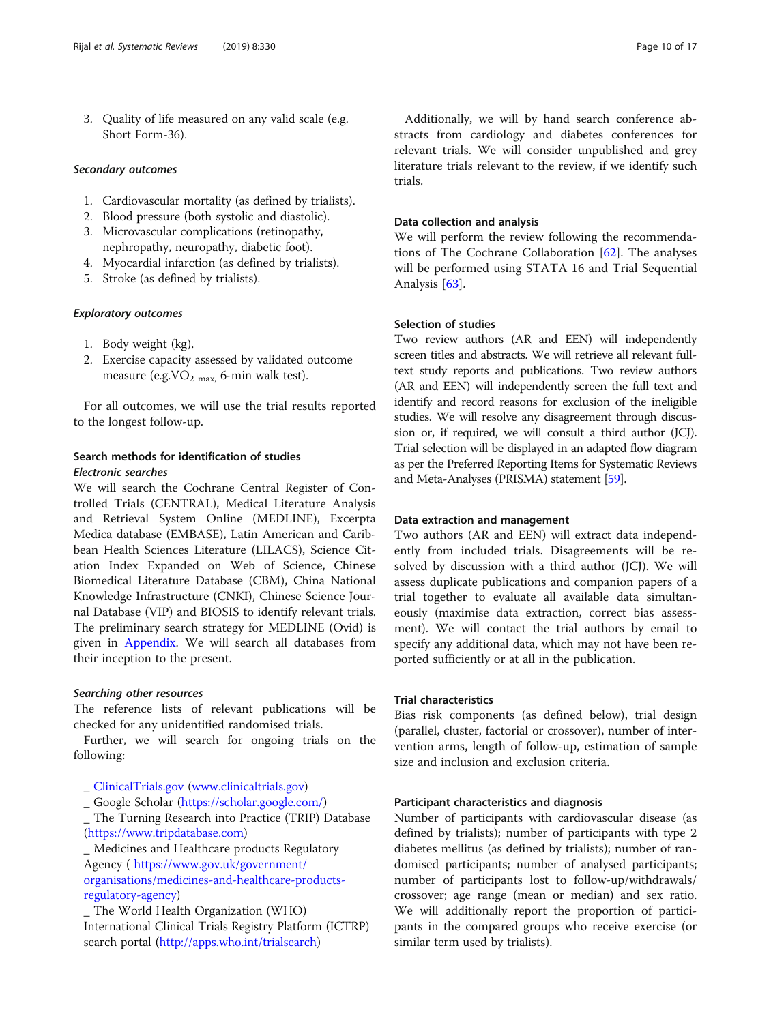3. Quality of life measured on any valid scale (e.g. Short Form-36).

# Secondary outcomes

- 1. Cardiovascular mortality (as defined by trialists).
- 2. Blood pressure (both systolic and diastolic).
- 3. Microvascular complications (retinopathy, nephropathy, neuropathy, diabetic foot).
- 4. Myocardial infarction (as defined by trialists).
- 5. Stroke (as defined by trialists).

#### Exploratory outcomes

- 1. Body weight (kg).
- 2. Exercise capacity assessed by validated outcome measure (e.g.  $VO<sub>2 max</sub>$  6-min walk test).

For all outcomes, we will use the trial results reported to the longest follow-up.

# Search methods for identification of studies Electronic searches

We will search the Cochrane Central Register of Controlled Trials (CENTRAL), Medical Literature Analysis and Retrieval System Online (MEDLINE), Excerpta Medica database (EMBASE), Latin American and Caribbean Health Sciences Literature (LILACS), Science Citation Index Expanded on Web of Science, Chinese Biomedical Literature Database (CBM), China National Knowledge Infrastructure (CNKI), Chinese Science Journal Database (VIP) and BIOSIS to identify relevant trials. The preliminary search strategy for MEDLINE (Ovid) is given in [Appendix.](#page-13-0) We will search all databases from their inception to the present.

# Searching other resources

The reference lists of relevant publications will be checked for any unidentified randomised trials.

Further, we will search for ongoing trials on the following:

- \_ [ClinicalTrials.gov](http://clinicaltrials.gov) [\(www.clinicaltrials.gov](http://www.clinicaltrials.gov))
- \_ Google Scholar [\(https://scholar.google.com/\)](https://scholar.google.com/)

\_ The Turning Research into Practice (TRIP) Database (<https://www.tripdatabase.com>)

\_ Medicines and Healthcare products Regulatory Agency ( [https://www.gov.uk/government/](https://www.gov.uk/government/organisations/medicines-and-healthcare-products-regulatory-agency) [organisations/medicines-and-healthcare-products](https://www.gov.uk/government/organisations/medicines-and-healthcare-products-regulatory-agency)[regulatory-agency](https://www.gov.uk/government/organisations/medicines-and-healthcare-products-regulatory-agency))

\_ The World Health Organization (WHO) International Clinical Trials Registry Platform (ICTRP) search portal [\(http://apps.who.int/trialsearch\)](http://apps.who.int/trialsearch)

Additionally, we will by hand search conference abstracts from cardiology and diabetes conferences for relevant trials. We will consider unpublished and grey literature trials relevant to the review, if we identify such trials.

# Data collection and analysis

We will perform the review following the recommendations of The Cochrane Collaboration [\[62](#page-16-0)]. The analyses will be performed using STATA 16 and Trial Sequential Analysis [[63\]](#page-16-0).

# Selection of studies

Two review authors (AR and EEN) will independently screen titles and abstracts. We will retrieve all relevant fulltext study reports and publications. Two review authors (AR and EEN) will independently screen the full text and identify and record reasons for exclusion of the ineligible studies. We will resolve any disagreement through discussion or, if required, we will consult a third author (JCJ). Trial selection will be displayed in an adapted flow diagram as per the Preferred Reporting Items for Systematic Reviews and Meta-Analyses (PRISMA) statement [[59](#page-16-0)].

#### Data extraction and management

Two authors (AR and EEN) will extract data independently from included trials. Disagreements will be resolved by discussion with a third author (JCJ). We will assess duplicate publications and companion papers of a trial together to evaluate all available data simultaneously (maximise data extraction, correct bias assessment). We will contact the trial authors by email to specify any additional data, which may not have been reported sufficiently or at all in the publication.

# Trial characteristics

Bias risk components (as defined below), trial design (parallel, cluster, factorial or crossover), number of intervention arms, length of follow-up, estimation of sample size and inclusion and exclusion criteria.

# Participant characteristics and diagnosis

Number of participants with cardiovascular disease (as defined by trialists); number of participants with type 2 diabetes mellitus (as defined by trialists); number of randomised participants; number of analysed participants; number of participants lost to follow-up/withdrawals/ crossover; age range (mean or median) and sex ratio. We will additionally report the proportion of participants in the compared groups who receive exercise (or similar term used by trialists).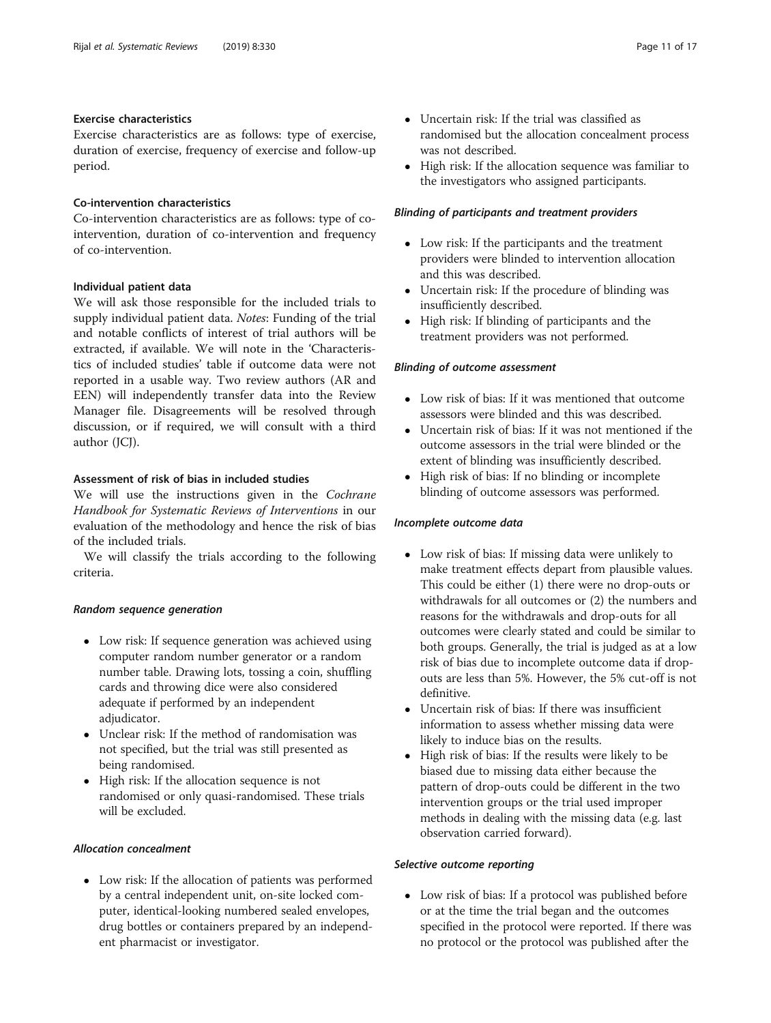# Exercise characteristics

Exercise characteristics are as follows: type of exercise, duration of exercise, frequency of exercise and follow-up period.

# Co-intervention characteristics

Co-intervention characteristics are as follows: type of cointervention, duration of co-intervention and frequency of co-intervention.

# Individual patient data

We will ask those responsible for the included trials to supply individual patient data. Notes: Funding of the trial and notable conflicts of interest of trial authors will be extracted, if available. We will note in the 'Characteristics of included studies' table if outcome data were not reported in a usable way. Two review authors (AR and EEN) will independently transfer data into the Review Manager file. Disagreements will be resolved through discussion, or if required, we will consult with a third author (JCJ).

# Assessment of risk of bias in included studies

We will use the instructions given in the Cochrane Handbook for Systematic Reviews of Interventions in our evaluation of the methodology and hence the risk of bias of the included trials.

We will classify the trials according to the following criteria.

# Random sequence generation

- Low risk: If sequence generation was achieved using computer random number generator or a random number table. Drawing lots, tossing a coin, shuffling cards and throwing dice were also considered adequate if performed by an independent adjudicator.
- Unclear risk: If the method of randomisation was not specified, but the trial was still presented as being randomised.
- High risk: If the allocation sequence is not randomised or only quasi-randomised. These trials will be excluded.

# Allocation concealment

 Low risk: If the allocation of patients was performed by a central independent unit, on-site locked computer, identical-looking numbered sealed envelopes, drug bottles or containers prepared by an independent pharmacist or investigator.

- Uncertain risk: If the trial was classified as randomised but the allocation concealment process was not described.
- High risk: If the allocation sequence was familiar to the investigators who assigned participants.

# Blinding of participants and treatment providers

- Low risk: If the participants and the treatment providers were blinded to intervention allocation and this was described.
- Uncertain risk: If the procedure of blinding was insufficiently described.
- High risk: If blinding of participants and the treatment providers was not performed.

# Blinding of outcome assessment

- Low risk of bias: If it was mentioned that outcome assessors were blinded and this was described.
- Uncertain risk of bias: If it was not mentioned if the outcome assessors in the trial were blinded or the extent of blinding was insufficiently described.
- High risk of bias: If no blinding or incomplete blinding of outcome assessors was performed.

# Incomplete outcome data

- Low risk of bias: If missing data were unlikely to make treatment effects depart from plausible values. This could be either (1) there were no drop-outs or withdrawals for all outcomes or (2) the numbers and reasons for the withdrawals and drop-outs for all outcomes were clearly stated and could be similar to both groups. Generally, the trial is judged as at a low risk of bias due to incomplete outcome data if dropouts are less than 5%. However, the 5% cut-off is not definitive.
- Uncertain risk of bias: If there was insufficient information to assess whether missing data were likely to induce bias on the results.
- High risk of bias: If the results were likely to be biased due to missing data either because the pattern of drop-outs could be different in the two intervention groups or the trial used improper methods in dealing with the missing data (e.g. last observation carried forward).

# Selective outcome reporting

 Low risk of bias: If a protocol was published before or at the time the trial began and the outcomes specified in the protocol were reported. If there was no protocol or the protocol was published after the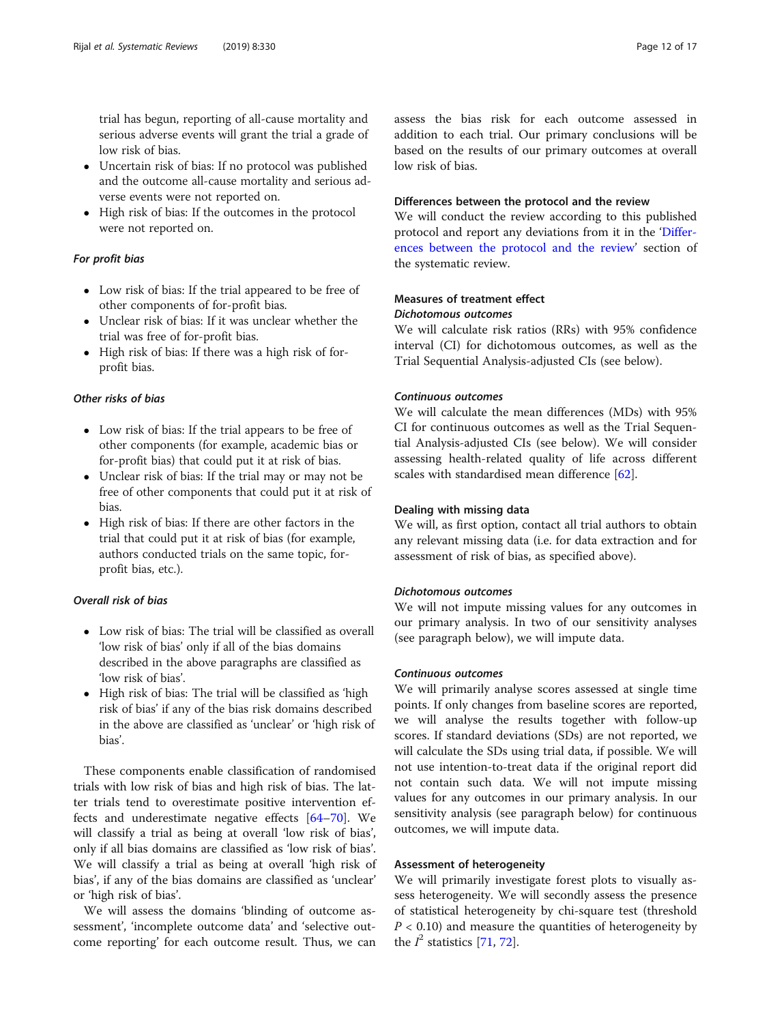trial has begun, reporting of all-cause mortality and serious adverse events will grant the trial a grade of low risk of bias.

- Uncertain risk of bias: If no protocol was published and the outcome all-cause mortality and serious adverse events were not reported on.
- High risk of bias: If the outcomes in the protocol were not reported on.

# For profit bias

- Low risk of bias: If the trial appeared to be free of other components of for-profit bias.
- Unclear risk of bias: If it was unclear whether the trial was free of for-profit bias.
- High risk of bias: If there was a high risk of forprofit bias.

# Other risks of bias

- Low risk of bias: If the trial appears to be free of other components (for example, academic bias or for-profit bias) that could put it at risk of bias.
- Unclear risk of bias: If the trial may or may not be free of other components that could put it at risk of bias.
- High risk of bias: If there are other factors in the trial that could put it at risk of bias (for example, authors conducted trials on the same topic, forprofit bias, etc.).

# Overall risk of bias

- Low risk of bias: The trial will be classified as overall 'low risk of bias' only if all of the bias domains described in the above paragraphs are classified as 'low risk of bias'.
- High risk of bias: The trial will be classified as 'high risk of bias' if any of the bias risk domains described in the above are classified as 'unclear' or 'high risk of bias'.

These components enable classification of randomised trials with low risk of bias and high risk of bias. The latter trials tend to overestimate positive intervention effects and underestimate negative effects [[64](#page-16-0)–[70](#page-16-0)]. We will classify a trial as being at overall 'low risk of bias', only if all bias domains are classified as 'low risk of bias'. We will classify a trial as being at overall 'high risk of bias', if any of the bias domains are classified as 'unclear' or 'high risk of bias'.

We will assess the domains 'blinding of outcome assessment', 'incomplete outcome data' and 'selective outcome reporting' for each outcome result. Thus, we can

assess the bias risk for each outcome assessed in addition to each trial. Our primary conclusions will be based on the results of our primary outcomes at overall low risk of bias.

## Differences between the protocol and the review

We will conduct the review according to this published protocol and report any deviations from it in the 'Differences between the protocol and the review' section of the systematic review.

# Measures of treatment effect Dichotomous outcomes

We will calculate risk ratios (RRs) with 95% confidence interval (CI) for dichotomous outcomes, as well as the Trial Sequential Analysis-adjusted CIs (see below).

# Continuous outcomes

We will calculate the mean differences (MDs) with 95% CI for continuous outcomes as well as the Trial Sequential Analysis-adjusted CIs (see below). We will consider assessing health-related quality of life across different scales with standardised mean difference [[62](#page-16-0)].

# Dealing with missing data

We will, as first option, contact all trial authors to obtain any relevant missing data (i.e. for data extraction and for assessment of risk of bias, as specified above).

# Dichotomous outcomes

We will not impute missing values for any outcomes in our primary analysis. In two of our sensitivity analyses (see paragraph below), we will impute data.

## Continuous outcomes

We will primarily analyse scores assessed at single time points. If only changes from baseline scores are reported, we will analyse the results together with follow-up scores. If standard deviations (SDs) are not reported, we will calculate the SDs using trial data, if possible. We will not use intention-to-treat data if the original report did not contain such data. We will not impute missing values for any outcomes in our primary analysis. In our sensitivity analysis (see paragraph below) for continuous outcomes, we will impute data.

# Assessment of heterogeneity

We will primarily investigate forest plots to visually assess heterogeneity. We will secondly assess the presence of statistical heterogeneity by chi-square test (threshold  $P < 0.10$ ) and measure the quantities of heterogeneity by the  $I^2$  statistics [\[71](#page-16-0), [72\]](#page-16-0).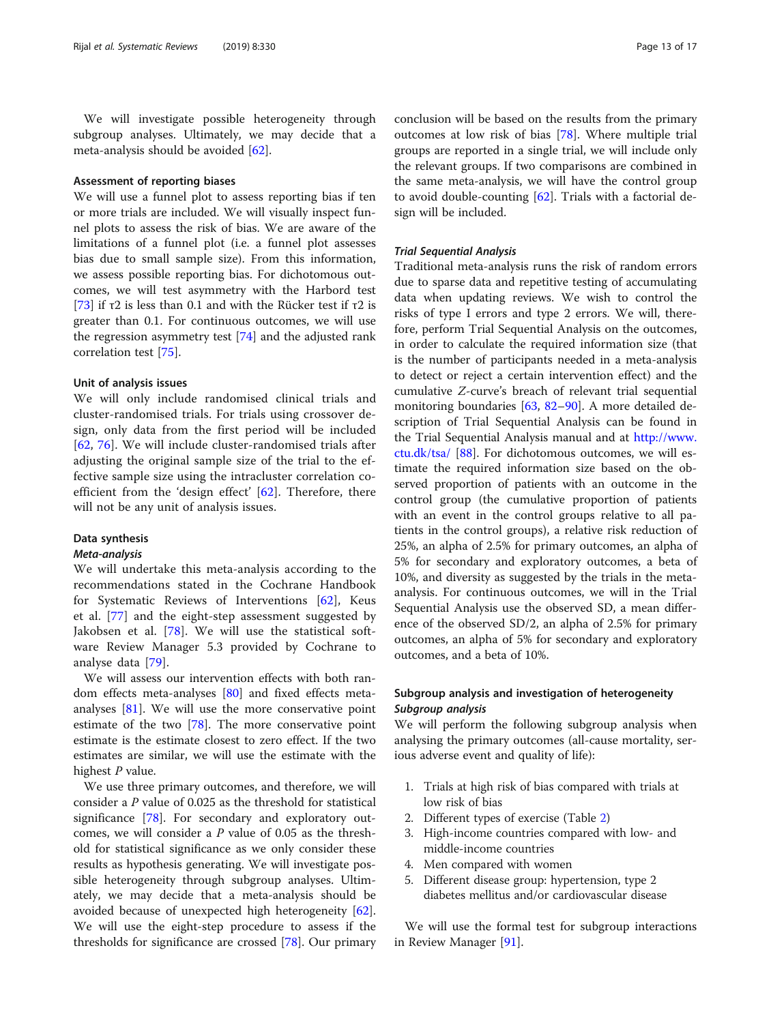We will investigate possible heterogeneity through subgroup analyses. Ultimately, we may decide that a meta-analysis should be avoided [[62\]](#page-16-0).

# Assessment of reporting biases

We will use a funnel plot to assess reporting bias if ten or more trials are included. We will visually inspect funnel plots to assess the risk of bias. We are aware of the limitations of a funnel plot (i.e. a funnel plot assesses bias due to small sample size). From this information, we assess possible reporting bias. For dichotomous outcomes, we will test asymmetry with the Harbord test [[73\]](#page-16-0) if τ2 is less than 0.1 and with the Rücker test if τ2 is greater than 0.1. For continuous outcomes, we will use the regression asymmetry test [\[74](#page-16-0)] and the adjusted rank correlation test [[75\]](#page-16-0).

### Unit of analysis issues

We will only include randomised clinical trials and cluster-randomised trials. For trials using crossover design, only data from the first period will be included [[62,](#page-16-0) [76](#page-16-0)]. We will include cluster-randomised trials after adjusting the original sample size of the trial to the effective sample size using the intracluster correlation coefficient from the 'design effect' [[62\]](#page-16-0). Therefore, there will not be any unit of analysis issues.

# Data synthesis

#### Meta-analysis

We will undertake this meta-analysis according to the recommendations stated in the Cochrane Handbook for Systematic Reviews of Interventions [[62\]](#page-16-0), Keus et al. [[77\]](#page-16-0) and the eight-step assessment suggested by Jakobsen et al. [[78\]](#page-16-0). We will use the statistical software Review Manager 5.3 provided by Cochrane to analyse data [\[79](#page-16-0)].

We will assess our intervention effects with both random effects meta-analyses [[80\]](#page-16-0) and fixed effects metaanalyses [\[81](#page-16-0)]. We will use the more conservative point estimate of the two [[78\]](#page-16-0). The more conservative point estimate is the estimate closest to zero effect. If the two estimates are similar, we will use the estimate with the highest P value.

We use three primary outcomes, and therefore, we will consider a P value of 0.025 as the threshold for statistical significance [\[78\]](#page-16-0). For secondary and exploratory outcomes, we will consider a  $P$  value of 0.05 as the threshold for statistical significance as we only consider these results as hypothesis generating. We will investigate possible heterogeneity through subgroup analyses. Ultimately, we may decide that a meta-analysis should be avoided because of unexpected high heterogeneity [\[62](#page-16-0)]. We will use the eight-step procedure to assess if the thresholds for significance are crossed [\[78](#page-16-0)]. Our primary conclusion will be based on the results from the primary outcomes at low risk of bias [[78\]](#page-16-0). Where multiple trial groups are reported in a single trial, we will include only the relevant groups. If two comparisons are combined in the same meta-analysis, we will have the control group to avoid double-counting  $[62]$ . Trials with a factorial design will be included.

#### Trial Sequential Analysis

Traditional meta-analysis runs the risk of random errors due to sparse data and repetitive testing of accumulating data when updating reviews. We wish to control the risks of type I errors and type 2 errors. We will, therefore, perform Trial Sequential Analysis on the outcomes, in order to calculate the required information size (that is the number of participants needed in a meta-analysis to detect or reject a certain intervention effect) and the cumulative Z-curve's breach of relevant trial sequential monitoring boundaries [[63](#page-16-0), [82](#page-16-0)–[90](#page-16-0)]. A more detailed description of Trial Sequential Analysis can be found in the Trial Sequential Analysis manual and at [http://www.](http://www.ctu.dk/tsa/) [ctu.dk/tsa/](http://www.ctu.dk/tsa/) [\[88](#page-16-0)]. For dichotomous outcomes, we will estimate the required information size based on the observed proportion of patients with an outcome in the control group (the cumulative proportion of patients with an event in the control groups relative to all patients in the control groups), a relative risk reduction of 25%, an alpha of 2.5% for primary outcomes, an alpha of 5% for secondary and exploratory outcomes, a beta of 10%, and diversity as suggested by the trials in the metaanalysis. For continuous outcomes, we will in the Trial Sequential Analysis use the observed SD, a mean difference of the observed SD/2, an alpha of 2.5% for primary outcomes, an alpha of 5% for secondary and exploratory outcomes, and a beta of 10%.

# Subgroup analysis and investigation of heterogeneity Subgroup analysis

We will perform the following subgroup analysis when analysing the primary outcomes (all-cause mortality, serious adverse event and quality of life):

- 1. Trials at high risk of bias compared with trials at low risk of bias
- 2. Different types of exercise (Table [2\)](#page-2-0)
- 3. High-income countries compared with low- and middle-income countries
- 4. Men compared with women
- 5. Different disease group: hypertension, type 2 diabetes mellitus and/or cardiovascular disease

We will use the formal test for subgroup interactions in Review Manager [[91](#page-16-0)].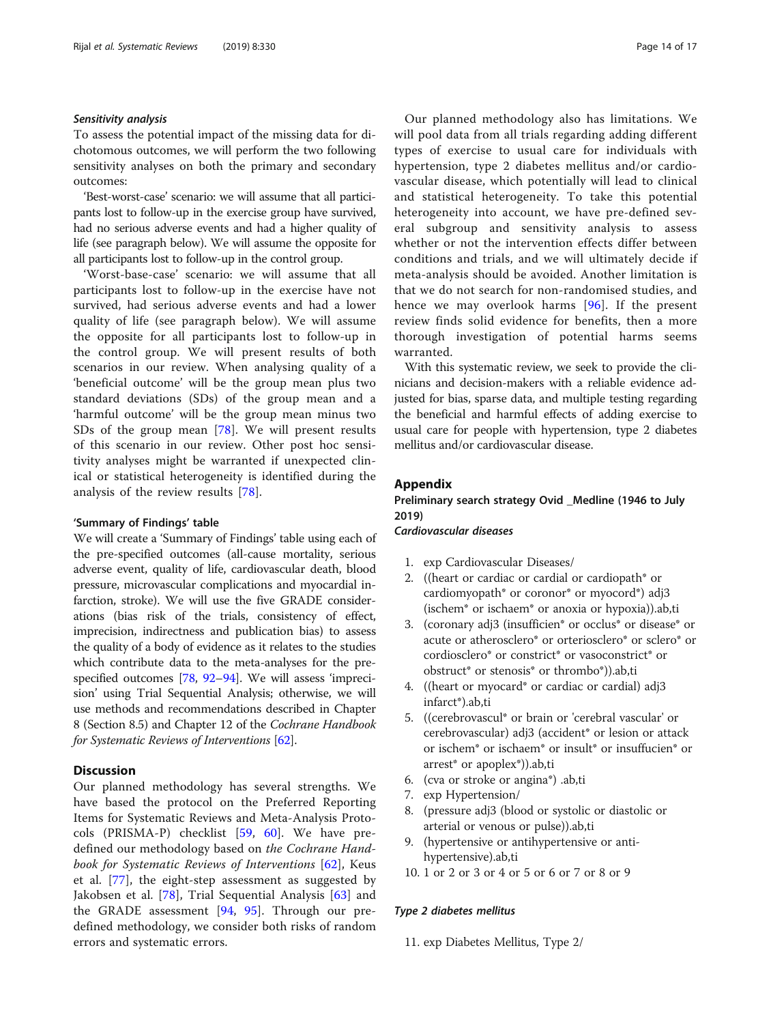# <span id="page-13-0"></span>Sensitivity analysis

To assess the potential impact of the missing data for dichotomous outcomes, we will perform the two following sensitivity analyses on both the primary and secondary outcomes:

'Best-worst-case' scenario: we will assume that all participants lost to follow-up in the exercise group have survived, had no serious adverse events and had a higher quality of life (see paragraph below). We will assume the opposite for all participants lost to follow-up in the control group.

'Worst-base-case' scenario: we will assume that all participants lost to follow-up in the exercise have not survived, had serious adverse events and had a lower quality of life (see paragraph below). We will assume the opposite for all participants lost to follow-up in the control group. We will present results of both scenarios in our review. When analysing quality of a 'beneficial outcome' will be the group mean plus two standard deviations (SDs) of the group mean and a 'harmful outcome' will be the group mean minus two SDs of the group mean [[78\]](#page-16-0). We will present results of this scenario in our review. Other post hoc sensitivity analyses might be warranted if unexpected clinical or statistical heterogeneity is identified during the analysis of the review results [\[78](#page-16-0)].

# 'Summary of Findings' table

We will create a 'Summary of Findings' table using each of the pre-specified outcomes (all-cause mortality, serious adverse event, quality of life, cardiovascular death, blood pressure, microvascular complications and myocardial infarction, stroke). We will use the five GRADE considerations (bias risk of the trials, consistency of effect, imprecision, indirectness and publication bias) to assess the quality of a body of evidence as it relates to the studies which contribute data to the meta-analyses for the prespecified outcomes [\[78,](#page-16-0) [92](#page-16-0)–[94\]](#page-16-0). We will assess 'imprecision' using Trial Sequential Analysis; otherwise, we will use methods and recommendations described in Chapter 8 (Section 8.5) and Chapter 12 of the Cochrane Handbook for Systematic Reviews of Interventions [[62](#page-16-0)].

# **Discussion**

Our planned methodology has several strengths. We have based the protocol on the Preferred Reporting Items for Systematic Reviews and Meta-Analysis Protocols (PRISMA-P) checklist [[59](#page-16-0), [60](#page-16-0)]. We have predefined our methodology based on the Cochrane Handbook for Systematic Reviews of Interventions [[62\]](#page-16-0), Keus et al. [[77\]](#page-16-0), the eight-step assessment as suggested by Jakobsen et al. [[78\]](#page-16-0), Trial Sequential Analysis [\[63](#page-16-0)] and the GRADE assessment [[94,](#page-16-0) [95\]](#page-16-0). Through our predefined methodology, we consider both risks of random errors and systematic errors.

Our planned methodology also has limitations. We will pool data from all trials regarding adding different types of exercise to usual care for individuals with hypertension, type 2 diabetes mellitus and/or cardiovascular disease, which potentially will lead to clinical and statistical heterogeneity. To take this potential heterogeneity into account, we have pre-defined several subgroup and sensitivity analysis to assess whether or not the intervention effects differ between conditions and trials, and we will ultimately decide if meta-analysis should be avoided. Another limitation is that we do not search for non-randomised studies, and hence we may overlook harms [[96](#page-16-0)]. If the present review finds solid evidence for benefits, then a more thorough investigation of potential harms seems warranted.

With this systematic review, we seek to provide the clinicians and decision-makers with a reliable evidence adjusted for bias, sparse data, and multiple testing regarding the beneficial and harmful effects of adding exercise to usual care for people with hypertension, type 2 diabetes mellitus and/or cardiovascular disease.

# Appendix

# Preliminary search strategy Ovid \_Medline (1946 to July 2019)

# Cardiovascular diseases

- 1. exp Cardiovascular Diseases/
- 2. ((heart or cardiac or cardial or cardiopath\* or cardiomyopath\* or coronor\* or myocord\*) adj3 (ischem\* or ischaem\* or anoxia or hypoxia)).ab,ti
- 3. (coronary adj3 (insufficien\* or occlus\* or disease\* or acute or atherosclero\* or orteriosclero\* or sclero\* or cordiosclero\* or constrict\* or vasoconstrict\* or obstruct\* or stenosis\* or thrombo\*)).ab,ti
- 4. ((heart or myocard\* or cardiac or cardial) adj3 infarct\*).ab,ti
- 5. ((cerebrovascul\* or brain or 'cerebral vascular' or cerebrovascular) adj3 (accident\* or lesion or attack or ischem\* or ischaem\* or insult\* or insuffucien\* or arrest\* or apoplex\*)).ab,ti
- 6. (cva or stroke or angina\*) .ab,ti
- 7. exp Hypertension/
- 8. (pressure adj3 (blood or systolic or diastolic or arterial or venous or pulse)).ab,ti
- 9. (hypertensive or antihypertensive or antihypertensive).ab,ti
- 10. 1 or 2 or 3 or 4 or 5 or 6 or 7 or 8 or 9

# Type 2 diabetes mellitus

11. exp Diabetes Mellitus, Type 2/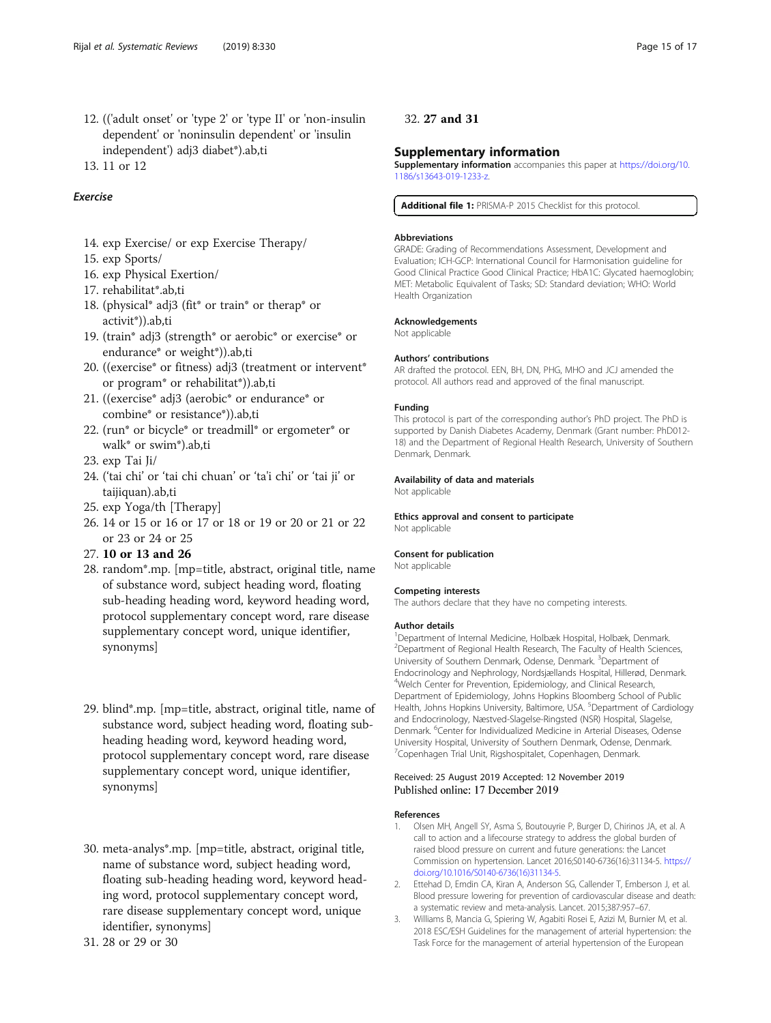- <span id="page-14-0"></span>12. (('adult onset' or 'type 2' or 'type II' or 'non-insulin dependent' or 'noninsulin dependent' or 'insulin independent') adj3 diabet\*).ab,ti
- 13. 11 or 12

# Exercise

- 14. exp Exercise/ or exp Exercise Therapy/
- 15. exp Sports/
- 16. exp Physical Exertion/
- 17. rehabilitat\*.ab,ti
- 18. (physical\* adj3 (fit\* or train\* or therap\* or activit\*)).ab,ti
- 19. (train\* adj3 (strength\* or aerobic\* or exercise\* or endurance\* or weight\*)).ab,ti
- 20. ((exercise\* or fitness) adj3 (treatment or intervent\* or program\* or rehabilitat\*)).ab,ti
- 21. ((exercise\* adj3 (aerobic\* or endurance\* or combine\* or resistance\*)).ab,ti
- 22. (run\* or bicycle\* or treadmill\* or ergometer\* or walk\* or swim\*).ab,ti
- 23. exp Tai Ji/
- 24. ('tai chi' or 'tai chi chuan' or 'ta'i chi' or 'tai ji' or taijiquan).ab,ti
- 25. exp Yoga/th [Therapy]
- 26. 14 or 15 or 16 or 17 or 18 or 19 or 20 or 21 or 22 or 23 or 24 or 25

# 27. 10 or 13 and 26

- 28. random\*.mp. [mp=title, abstract, original title, name of substance word, subject heading word, floating sub-heading heading word, keyword heading word, protocol supplementary concept word, rare disease supplementary concept word, unique identifier, synonyms]
- 29. blind\*.mp. [mp=title, abstract, original title, name of substance word, subject heading word, floating subheading heading word, keyword heading word, protocol supplementary concept word, rare disease supplementary concept word, unique identifier, synonyms]
- 30. meta-analys\*.mp. [mp=title, abstract, original title, name of substance word, subject heading word, floating sub-heading heading word, keyword heading word, protocol supplementary concept word, rare disease supplementary concept word, unique identifier, synonyms]
- 31. 28 or 29 or 30

# 32. 27 and 31

### Supplementary information

Supplementary information accompanies this paper at [https://doi.org/10.](https://doi.org/10.1186/s13643-019-1233-z) [1186/s13643-019-1233-z](https://doi.org/10.1186/s13643-019-1233-z).

Additional file 1: PRISMA-P 2015 Checklist for this protocol.

# Abbreviations

GRADE: Grading of Recommendations Assessment, Development and Evaluation; ICH-GCP: International Council for Harmonisation guideline for Good Clinical Practice Good Clinical Practice; HbA1C: Glycated haemoglobin; MET: Metabolic Equivalent of Tasks; SD: Standard deviation; WHO: World Health Organization

# Acknowledgements

Not applicable

#### Authors' contributions

AR drafted the protocol. EEN, BH, DN, PHG, MHO and JCJ amended the protocol. All authors read and approved of the final manuscript.

#### Funding

This protocol is part of the corresponding author's PhD project. The PhD is supported by Danish Diabetes Academy, Denmark (Grant number: PhD012- 18) and the Department of Regional Health Research, University of Southern Denmark, Denmark.

#### Availability of data and materials

Not applicable

#### Ethics approval and consent to participate Not applicable

# Consent for publication

Not applicable

#### Competing interests

The authors declare that they have no competing interests.

#### Author details

1 Department of Internal Medicine, Holbæk Hospital, Holbæk, Denmark. <sup>2</sup>Department of Regional Health Research, The Faculty of Health Sciences University of Southern Denmark, Odense, Denmark. <sup>3</sup> Department of Endocrinology and Nephrology, Nordsjællands Hospital, Hillerød, Denmark. 4 Welch Center for Prevention, Epidemiology, and Clinical Research, Department of Epidemiology, Johns Hopkins Bloomberg School of Public Health, Johns Hopkins University, Baltimore, USA. <sup>5</sup>Department of Cardiology and Endocrinology, Næstved-Slagelse-Ringsted (NSR) Hospital, Slagelse, Denmark. <sup>6</sup>Center for Individualized Medicine in Arterial Diseases, Odense University Hospital, University of Southern Denmark, Odense, Denmark. <sup>7</sup>Copenhagen Trial Unit, Rigshospitalet, Copenhagen, Denmark.

# Received: 25 August 2019 Accepted: 12 November 2019 Published online: 17 December 2019

#### References

- 1. Olsen MH, Angell SY, Asma S, Boutouyrie P, Burger D, Chirinos JA, et al. A call to action and a lifecourse strategy to address the global burden of raised blood pressure on current and future generations: the Lancet Commission on hypertension. Lancet 2016;S0140-6736(16):31134-5. [https://](https://doi.org/10.1016/S0140-6736(16)31134-5) [doi.org/10.1016/S0140-6736\(16\)31134-5](https://doi.org/10.1016/S0140-6736(16)31134-5).
- 2. Ettehad D, Emdin CA, Kiran A, Anderson SG, Callender T, Emberson J, et al. Blood pressure lowering for prevention of cardiovascular disease and death: a systematic review and meta-analysis. Lancet. 2015;387:957–67.
- 3. Williams B, Mancia G, Spiering W, Agabiti Rosei E, Azizi M, Burnier M, et al. 2018 ESC/ESH Guidelines for the management of arterial hypertension: the Task Force for the management of arterial hypertension of the European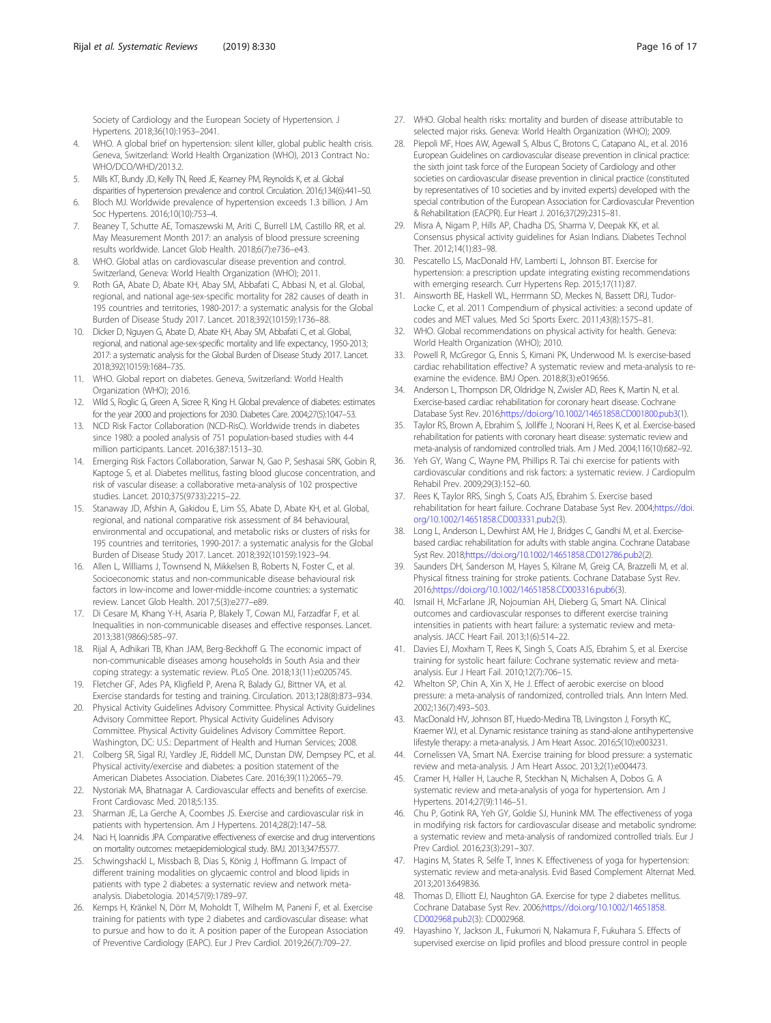<span id="page-15-0"></span>Society of Cardiology and the European Society of Hypertension. J Hypertens. 2018;36(10):1953–2041.

- 4. WHO. A global brief on hypertension: silent killer, global public health crisis. Geneva, Switzerland: World Health Organization (WHO), 2013 Contract No.: WHO/DCO/WHD/2013.2.
- 5. Mills KT, Bundy JD, Kelly TN, Reed JE, Kearney PM, Reynolds K, et al. Global disparities of hypertension prevalence and control. Circulation. 2016;134(6):441–50.
- 6. Bloch MJ. Worldwide prevalence of hypertension exceeds 1.3 billion. J Am Soc Hypertens. 2016;10(10):753–4.
- 7. Beaney T, Schutte AE, Tomaszewski M, Ariti C, Burrell LM, Castillo RR, et al. May Measurement Month 2017: an analysis of blood pressure screening results worldwide. Lancet Glob Health. 2018;6(7):e736–e43.
- 8. WHO. Global atlas on cardiovascular disease prevention and control. Switzerland, Geneva: World Health Organization (WHO); 2011.
- 9. Roth GA, Abate D, Abate KH, Abay SM, Abbafati C, Abbasi N, et al. Global, regional, and national age-sex-specific mortality for 282 causes of death in 195 countries and territories, 1980-2017: a systematic analysis for the Global Burden of Disease Study 2017. Lancet. 2018;392(10159):1736–88.
- 10. Dicker D, Nguyen G, Abate D, Abate KH, Abay SM, Abbafati C, et al. Global, regional, and national age-sex-specific mortality and life expectancy, 1950-2013; 2017: a systematic analysis for the Global Burden of Disease Study 2017. Lancet. 2018;392(10159):1684–735.
- 11. WHO. Global report on diabetes. Geneva, Switzerland: World Health Organization (WHO); 2016.
- 12. Wild S, Roglic G, Green A, Sicree R, King H. Global prevalence of diabetes: estimates for the year 2000 and projections for 2030. Diabetes Care. 2004;27(5):1047–53.
- 13. NCD Risk Factor Collaboration (NCD-RisC). Worldwide trends in diabetes since 1980: a pooled analysis of 751 population-based studies with 4·4 million participants. Lancet. 2016;387:1513–30.
- 14. Emerging Risk Factors Collaboration, Sarwar N, Gao P, Seshasai SRK, Gobin R, Kaptoge S, et al. Diabetes mellitus, fasting blood glucose concentration, and risk of vascular disease: a collaborative meta-analysis of 102 prospective studies. Lancet. 2010;375(9733):2215–22.
- 15. Stanaway JD, Afshin A, Gakidou E, Lim SS, Abate D, Abate KH, et al. Global, regional, and national comparative risk assessment of 84 behavioural, environmental and occupational, and metabolic risks or clusters of risks for 195 countries and territories, 1990-2017: a systematic analysis for the Global Burden of Disease Study 2017. Lancet. 2018;392(10159):1923–94.
- 16. Allen L, Williams J, Townsend N, Mikkelsen B, Roberts N, Foster C, et al. Socioeconomic status and non-communicable disease behavioural risk factors in low-income and lower-middle-income countries: a systematic review. Lancet Glob Health. 2017;5(3):e277–e89.
- 17. Di Cesare M, Khang Y-H, Asaria P, Blakely T, Cowan MJ, Farzadfar F, et al. Inequalities in non-communicable diseases and effective responses. Lancet. 2013;381(9866):585–97.
- 18. Rijal A, Adhikari TB, Khan JAM, Berg-Beckhoff G. The economic impact of non-communicable diseases among households in South Asia and their coping strategy: a systematic review. PLoS One. 2018;13(11):e0205745.
- 19. Fletcher GF, Ades PA, Kligfield P, Arena R, Balady GJ, Bittner VA, et al. Exercise standards for testing and training. Circulation. 2013;128(8):873–934.
- 20. Physical Activity Guidelines Advisory Committee. Physical Activity Guidelines Advisory Committee Report. Physical Activity Guidelines Advisory Committee. Physical Activity Guidelines Advisory Committee Report. Washington, DC: U.S.: Department of Health and Human Services; 2008.
- 21. Colberg SR, Sigal RJ, Yardley JE, Riddell MC, Dunstan DW, Dempsey PC, et al. Physical activity/exercise and diabetes: a position statement of the American Diabetes Association. Diabetes Care. 2016;39(11):2065–79.
- 22. Nystoriak MA, Bhatnagar A. Cardiovascular effects and benefits of exercise. Front Cardiovasc Med. 2018;5:135.
- 23. Sharman JE, La Gerche A, Coombes JS. Exercise and cardiovascular risk in patients with hypertension. Am J Hypertens. 2014;28(2):147–58.
- 24. Naci H, Ioannidis JPA. Comparative effectiveness of exercise and drug interventions on mortality outcomes: metaepidemiological study. BMJ. 2013;347:f5577.
- 25. Schwingshackl L, Missbach B, Dias S, König J, Hoffmann G. Impact of different training modalities on glycaemic control and blood lipids in patients with type 2 diabetes: a systematic review and network metaanalysis. Diabetologia. 2014;57(9):1789–97.
- 26. Kemps H, Kränkel N, Dörr M, Moholdt T, Wilhelm M, Paneni F, et al. Exercise training for patients with type 2 diabetes and cardiovascular disease: what to pursue and how to do it. A position paper of the European Association of Preventive Cardiology (EAPC). Eur J Prev Cardiol. 2019;26(7):709–27.
- 27. WHO. Global health risks: mortality and burden of disease attributable to selected major risks. Geneva: World Health Organization (WHO); 2009.
- 28. Piepoli MF, Hoes AW, Agewall S, Albus C, Brotons C, Catapano AL, et al. 2016 European Guidelines on cardiovascular disease prevention in clinical practice: the sixth joint task force of the European Society of Cardiology and other societies on cardiovascular disease prevention in clinical practice (constituted by representatives of 10 societies and by invited experts) developed with the special contribution of the European Association for Cardiovascular Prevention & Rehabilitation (EACPR). Eur Heart J. 2016;37(29):2315–81.
- 29. Misra A, Nigam P, Hills AP, Chadha DS, Sharma V, Deepak KK, et al. Consensus physical activity guidelines for Asian Indians. Diabetes Technol Ther. 2012;14(1):83–98.
- 30. Pescatello LS, MacDonald HV, Lamberti L, Johnson BT. Exercise for hypertension: a prescription update integrating existing recommendations with emerging research. Curr Hypertens Rep. 2015;17(11):87.
- 31. Ainsworth BE, Haskell WL, Herrmann SD, Meckes N, Bassett DRJ, Tudor-Locke C, et al. 2011 Compendium of physical activities: a second update of codes and MET values. Med Sci Sports Exerc. 2011;43(8):1575–81.
- 32. WHO. Global recommendations on physical activity for health. Geneva: World Health Organization (WHO); 2010.
- 33. Powell R, McGregor G, Ennis S, Kimani PK, Underwood M. Is exercise-based cardiac rehabilitation effective? A systematic review and meta-analysis to reexamine the evidence. BMJ Open. 2018;8(3):e019656.
- 34. Anderson L, Thompson DR, Oldridge N, Zwisler AD, Rees K, Martin N, et al. Exercise-based cardiac rehabilitation for coronary heart disease. Cochrane Database Syst Rev. 2016[;https://doi.org/10.1002/14651858.CD001800.pub3\(](https://doi.org/10.1002/14651858.CD001800.pub3)1).
- 35. Taylor RS, Brown A, Ebrahim S, Jolliffe J, Noorani H, Rees K, et al. Exercise-based rehabilitation for patients with coronary heart disease: systematic review and meta-analysis of randomized controlled trials. Am J Med. 2004;116(10):682–92.
- 36. Yeh GY, Wang C, Wayne PM, Phillips R. Tai chi exercise for patients with cardiovascular conditions and risk factors: a systematic review. J Cardiopulm Rehabil Prev. 2009;29(3):152–60.
- 37. Rees K, Taylor RRS, Singh S, Coats AJS, Ebrahim S. Exercise based rehabilitation for heart failure. Cochrane Database Syst Rev. 2004;[https://doi.](https://doi.org/10.1002/14651858.CD003331.pub2) [org/10.1002/14651858.CD003331.pub2\(](https://doi.org/10.1002/14651858.CD003331.pub2)3).
- 38. Long L, Anderson L, Dewhirst AM, He J, Bridges C, Gandhi M, et al. Exercisebased cardiac rehabilitation for adults with stable angina. Cochrane Database Syst Rev. 2018;<https://doi.org/10.1002/14651858.CD012786.pub2>(2).
- 39. Saunders DH, Sanderson M, Hayes S, Kilrane M, Greig CA, Brazzelli M, et al. Physical fitness training for stroke patients. Cochrane Database Syst Rev. 2016;<https://doi.org/10.1002/14651858.CD003316.pub6>(3).
- 40. Ismail H, McFarlane JR, Nojoumian AH, Dieberg G, Smart NA. Clinical outcomes and cardiovascular responses to different exercise training intensities in patients with heart failure: a systematic review and metaanalysis. JACC Heart Fail. 2013;1(6):514–22.
- 41. Davies EJ, Moxham T, Rees K, Singh S, Coats AJS, Ebrahim S, et al. Exercise training for systolic heart failure: Cochrane systematic review and metaanalysis. Eur J Heart Fail. 2010;12(7):706–15.
- 42. Whelton SP, Chin A, Xin X, He J. Effect of aerobic exercise on blood pressure: a meta-analysis of randomized, controlled trials. Ann Intern Med. 2002;136(7):493–503.
- 43. MacDonald HV, Johnson BT, Huedo-Medina TB, Livingston J, Forsyth KC, Kraemer WJ, et al. Dynamic resistance training as stand-alone antihypertensive lifestyle therapy: a meta-analysis. J Am Heart Assoc. 2016;5(10):e003231.
- 44. Cornelissen VA, Smart NA. Exercise training for blood pressure: a systematic review and meta-analysis. J Am Heart Assoc. 2013;2(1):e004473.
- 45. Cramer H, Haller H, Lauche R, Steckhan N, Michalsen A, Dobos G. A systematic review and meta-analysis of yoga for hypertension. Am J Hypertens. 2014;27(9):1146–51.
- 46. Chu P, Gotink RA, Yeh GY, Goldie SJ, Hunink MM. The effectiveness of yoga in modifying risk factors for cardiovascular disease and metabolic syndrome: a systematic review and meta-analysis of randomized controlled trials. Eur J Prev Cardiol. 2016;23(3):291–307.
- 47. Hagins M, States R, Selfe T, Innes K. Effectiveness of yoga for hypertension: systematic review and meta-analysis. Evid Based Complement Alternat Med. 2013;2013:649836.
- 48. Thomas D, Elliott EJ, Naughton GA. Exercise for type 2 diabetes mellitus. Cochrane Database Syst Rev. 2006;[https://doi.org/10.1002/14651858.](https://doi.org/10.1002/14651858.CD002968.pub2) [CD002968.pub2\(](https://doi.org/10.1002/14651858.CD002968.pub2)3): CD002968.
- 49. Hayashino Y, Jackson JL, Fukumori N, Nakamura F, Fukuhara S. Effects of supervised exercise on lipid profiles and blood pressure control in people